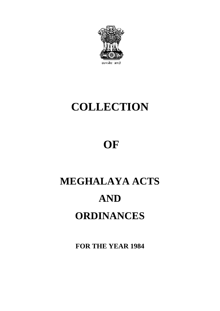

# **COLLECTION**

# **OF**

# **MEGHALAYA ACTS AND ORDINANCES**

**FOR THE YEAR 1984**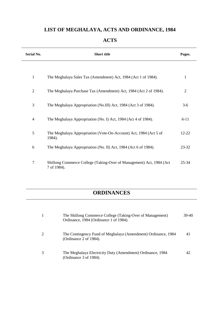# **LIST OF MEGHALAYA, ACTS AND ORDINANCE, 1984**

| Serial No.     | <b>Short title</b>                                                                  | Pages.         |
|----------------|-------------------------------------------------------------------------------------|----------------|
| $\mathbf{1}$   | The Meghalaya Sales Tax (Amendment) Act, 1984 (Act 1 of 1984).                      | 1              |
| $\overline{2}$ | The Meghalaya Purchase Tax (Amendment) Act, 1984 (Act 2 of 1984).                   | $\overline{2}$ |
| 3              | The Meghalaya Appropriation (No.III) Act, 1984 (Act 3 of 1984).                     | $3-6$          |
| $\overline{4}$ | The Meghalaya Appropriation (No. I) Act, 1984 (Act 4 of 1984).                      | $6 - 11$       |
| 5              | The Meghalaya Appropriation (Vote-On-Account) Act, 1984 (Act 5 of<br>1984).         | $12 - 22$      |
| 6              | The Meghalaya Appropriation (No. II) Act, 1984 (Act 6 of 1984).                     | 23-32          |
| $\overline{7}$ | Shillong Commerce College (Taking-Over of Management) Act, 1984 (Act<br>7 of 1984). | 25-34          |

# **ACTS**

# **ORDINANCES**

| The Shillong Commerce College (Taking-Over of Management)<br>Ordinance, 1984 (Ordinance 1 of 1984). | 39-40 |
|-----------------------------------------------------------------------------------------------------|-------|
| The Contingency Fund of Meghalaya (Amendment) Ordinance, 1984<br>(Ordinance 2 of 1984).             | 41    |
| The Meghalaya Electricity Duty (Amendment) Ordinance, 1984<br>(Ordinance 3 of 1984).                | 42    |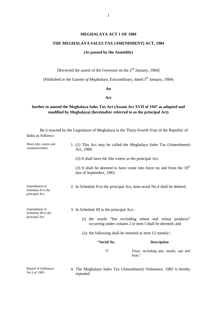#### **MEGHALAYA ACT 1 OF 1984**

#### **THE MEGHALAYA SALES TAX (AMENDMENT) ACT, 1984**

#### **(As passed by the Assembly)**

[Received the assent of the Governor on the 2<sup>nd</sup> January, 1984]

(Published in the *Gazette of Meghalaya*, Extraordinary, dated 5<sup>th</sup> January, 1984)

#### **An**

#### **Act**

#### **further to amend the Meghalaya Sales Tax Act (Assam Act XVII of 1947 as adapted and modified by Meghalaya) (hereinafter referred to as the principal Act)**

Be it enacted by the Legislature of Meghalaya in the Thirty-Fourth Year of the Republic of India as follows:-

| Short title, extent and<br>commencement.             | Act, 1984.                                                                                                        | 1. (1) This Act may be called the Meghalaya Sales Tax (Amendment)          |  |  |  |
|------------------------------------------------------|-------------------------------------------------------------------------------------------------------------------|----------------------------------------------------------------------------|--|--|--|
|                                                      | (2) It shall have the like extent as the principal Act.                                                           |                                                                            |  |  |  |
|                                                      | day of September, 1983.                                                                                           | (3) It shall be deemed to have come into force on and from the $19th$      |  |  |  |
| Amendment of<br>Schedule II to the<br>principal Act. |                                                                                                                   | 2. In Schedule II to the principal Act, item serial No.4 shall be deleted. |  |  |  |
| Amendment of<br>Schedule III to the                  | 3. In Schedule III to the principal Act:-                                                                         |                                                                            |  |  |  |
| principal Act.                                       | (i) the words "but excluding wheat and wheat products"<br>occurring under column 2 in item I shall be deemed; and |                                                                            |  |  |  |
|                                                      |                                                                                                                   | (ii) the following shall be inserted as item 12 namely:-                   |  |  |  |
|                                                      | "Serial No.                                                                                                       | <b>Description</b>                                                         |  |  |  |
|                                                      | 12                                                                                                                | Flour, including atta, maida, suji and<br>bran."                           |  |  |  |
|                                                      |                                                                                                                   |                                                                            |  |  |  |

Repeal of Ordinance No.3 of 1983.

4. The Meghalaya Sales Tax (Amendment) Ordinance, 1983 is hereby repealed.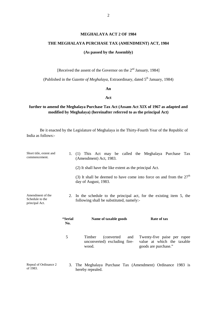#### **MEGHALAYA ACT 2 OF 1984**

#### **THE MEGHALAYA PURCHASE TAX (AMENDMENT) ACT, 1984**

#### **(As passed by the Assembly)**

[Received the assent of the Governor on the 2<sup>nd</sup> January, 1984]

(Published in the *Gazette of Meghalaya*, Extraordinary, dated 5<sup>th</sup> January, 1984)

#### **An**

#### **Act**

#### **further to amend the Meghalaya Purchase Tax Act (Assam Act XIX of 1967 as adapted and modified by Meghalaya) (hereinafter referred to as the principal Act)**

Be it enacted by the Legislature of Meghalaya in the Thirty-Fourth Year of the Republic of India as follows:-

| Short title, extent and<br>commencement.              | 1.             | This Act may be called the Meghalaya Purchase Tax<br>(1)<br>(Amendment) Act, 1983.<br>(2) It shall have the like extent as the principal Act.<br>(3) It shall be deemed to have come into force on and from the $27th$<br>day of August, 1983. |  |
|-------------------------------------------------------|----------------|------------------------------------------------------------------------------------------------------------------------------------------------------------------------------------------------------------------------------------------------|--|
| Amendment of the<br>Schedule to the<br>principal Act. | 2.             | In the schedule to the principal act, for the existing item 5, the<br>following shall be substituted, namely:-                                                                                                                                 |  |
|                                                       | "Serial<br>No. | Name of taxable goods<br><b>Rate of tax</b>                                                                                                                                                                                                    |  |
|                                                       | 5              | Timber<br>(converted)<br>Twenty-five paise per rupee<br>and<br>value at which the taxable<br>unconverted) excluding fire-<br>wood.<br>goods are purchase."                                                                                     |  |
| Repeal of Ordinance 2<br>of 1983.                     | 3.             | The Meghalaya Purchase Tax (Amendment) Ordinance 1983 is<br>hereby repealed.                                                                                                                                                                   |  |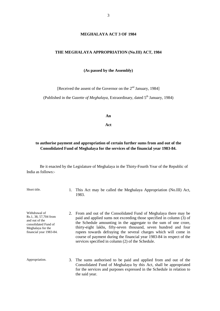#### **MEGHALAYA ACT 3 OF 1984**

#### **THE MEGHALAYA APPROPRIATION (No.III) ACT, 1984**

**(As passed by the Assembly)**

[Received the assent of the Governor on the 2<sup>nd</sup> January, 1984]

(Published in the *Gazette of Meghalaya*, Extraordinary, dated 5<sup>th</sup> January, 1984)

**An**

#### **Act**

#### **to authorise payment and appropriation of certain further sums from and out of the Consolidated Fund of Meghalaya for the services of the financial year 1983-84.**

Be it enacted by the Legislature of Meghalaya in the Thirty-Fourth Year of the Republic of India as follows:-

Short title. 1. This Act may be called the Meghalaya Appropriation (No.III) Act, 1983.

Withdrawal of Rs.1, 38, 57,704 from and out of the consolidated Fund of Meghalaya for the financial year 1983-84. 2. From and out of the Consolidated Fund of Meghalaya there may be paid and applied sums not exceeding those specified in column (3) of the Schedule amounting in the aggregate to the sum of one crore, thirty-eight lakhs, fifty-seven thousand, seven hundred and four rupees towards defraying the several charges which will come in course of payment during the financial year 1983-84 in respect of the services specified in column (2) of the Schedule.

Appropriation. 3. The sums authorised to be paid and applied from and out of the Consolidated Fund of Meghalaya by this Act, shall be appropriated for the services and purposes expressed in the Schedule in relation to the said year.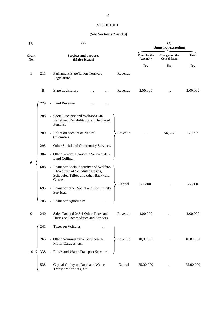#### **SCHEDULE**

#### **(***See* **Sections 2 and 3)**

| (1)          |     | (2)                                                                                                                            |                                 | (3)<br><b>Sums not exceeding</b> |              |  |  |
|--------------|-----|--------------------------------------------------------------------------------------------------------------------------------|---------------------------------|----------------------------------|--------------|--|--|
| Grant<br>No. |     | <b>Services and purposes</b><br>(Major Heads)                                                                                  | Voted by the<br><b>Assembly</b> | Charged on the<br>Consolidated   | <b>Total</b> |  |  |
|              |     |                                                                                                                                | Rs.                             | Rs.                              | Rs.          |  |  |
| 1            | 211 | - Parliament/State/Union Territory<br>Revenue<br>Legislature-                                                                  |                                 |                                  |              |  |  |
|              | B   | - State Legislature<br>Revenue                                                                                                 | 2,00,000                        | .                                | 2,00,000     |  |  |
|              | 229 | - Land Revenue<br>.                                                                                                            |                                 |                                  |              |  |  |
|              | 288 | - Social Security and Welfare-B-II-<br>Relief and Rehabilitation of Displaced<br>Persons.                                      |                                 |                                  |              |  |  |
|              | 289 | - Relief on account of Natural<br>Revenue<br>Calamities.                                                                       |                                 | 50,657                           | 50,657       |  |  |
|              | 295 | - Other Social and Community Services.                                                                                         |                                 |                                  |              |  |  |
|              | 304 | - Other General Economic Services-III-<br>Land Ceiling.                                                                        |                                 |                                  |              |  |  |
| 6            | 688 | - Loans for Social Security and Welfare-<br>III-Welfare of Scheduled Castes,<br>Scheduled Tribes and other Backward<br>Classes |                                 |                                  |              |  |  |
|              | 695 | Capital<br>- Loans for other Social and Community<br>Services.                                                                 | 27,800                          |                                  | 27,800       |  |  |
|              | 705 | - Loans for Agriculture                                                                                                        |                                 |                                  |              |  |  |
| 9            | 240 | - Sales Tax and 245-I-Other Taxes and<br>Revenue<br>Duties on Commodities and Services.                                        | 4,00,000                        |                                  | 4,00,000     |  |  |
|              | 241 | - Taxes on Vehicles                                                                                                            |                                 |                                  |              |  |  |
|              | 265 | - Other Administrative Services-II-<br>$\angle$ Revenue<br>Motor Garages, etc.                                                 | 10,87,991                       |                                  | 10,87,991    |  |  |
| 10           | 338 | - Roads and Water Transport Services.                                                                                          |                                 |                                  |              |  |  |
|              | 538 | Capital Outlay on Road and Water<br>Capital<br>Transport Services, etc.                                                        | 75,00,000                       | $\cdots$                         | 75,00,000    |  |  |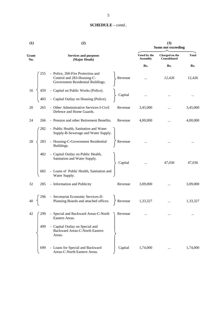| (1)          | (2)                                                                                                             | (3)<br><b>Sums not exceeding</b> |                                       |              |
|--------------|-----------------------------------------------------------------------------------------------------------------|----------------------------------|---------------------------------------|--------------|
| Grant<br>No. | <b>Services and purposes</b><br>(Major Heads)                                                                   | Voted by the<br><b>Assembly</b>  | Charged on the<br><b>Consolidated</b> | <b>Total</b> |
|              |                                                                                                                 | Rs.                              | Rs.                                   | Rs.          |
| 255          | - Police, 260-Fire Protection and<br>Control and 283-Housing-C-<br>Revenue<br>Government Residential Buildings. |                                  | 12,426                                | 12,426       |
| 16<br>459    |                                                                                                                 |                                  |                                       |              |
| 483          | - Capital on Public Works (Police).<br>- Capital Outlay on Housing (Police).<br>Capital                         |                                  |                                       | $\cdots$     |
| 20<br>265    | - Other Administrative Services-I-Civil<br>Revenue<br>Defence and Home Guards.                                  | 3,45,000                         |                                       | 3,45,000     |
| 24<br>266    | - Pension and other Retirement Benefits.<br>Revenue                                                             | 4,00,000                         |                                       | 4,00,000     |
| 282          | - Public Health, Sanitation and Water<br>Supply-B-Sewerage and Water Supply.                                    |                                  |                                       |              |
| 28<br>283    | - Housing-C-Government Residential<br>Revenue<br>Buildings.                                                     |                                  |                                       |              |
| 482          | - Capital Outlay on Public Health,<br>Sanitation and Water Supply.<br>Capital                                   |                                  | 47,036                                | 47,036       |
| 682          | - Loans of Public Health, Sanitation and<br>Water Supply.                                                       |                                  |                                       |              |
| 32<br>285    | - Information and Publicity<br>Revenue                                                                          | 3,09,000                         |                                       | 3,09,000     |
| 296          | Secretariat Economic Services-II-<br>Planning Boards and attached offices.<br>Revenue                           | 1,33,327                         |                                       | 1,33,327     |
| 42<br>299    | - Special and Backward Areas-C-North<br>Revenue<br>Eastern Areas.                                               |                                  |                                       |              |
| 499          | - Capital Outlay on Special and<br>Backward Areas-C-North Eastern<br>Areas.                                     |                                  |                                       |              |
| 699          | - Loans for Special and Backward<br>Capital<br>Areas-C-North Eastern Areas.                                     | 1,74,000                         |                                       | 1,74,000     |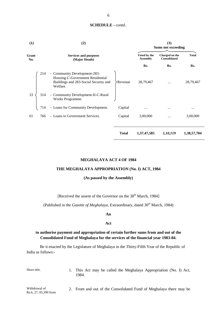| (1)          |     | (2)                                                                                                                   |              | (3)<br><b>Sums not exceeding</b> |                                |              |
|--------------|-----|-----------------------------------------------------------------------------------------------------------------------|--------------|----------------------------------|--------------------------------|--------------|
| Grant<br>No. |     | <b>Services and purposes</b><br>(Major Heads)                                                                         |              | Voted by the<br><b>Assembly</b>  | Charged on the<br>Consolidated | <b>Total</b> |
|              |     |                                                                                                                       |              | Rs.                              | Rs.                            | Rs.          |
|              | 214 | - Community Development-283-<br>Housing-C-Government Residential<br>Buildings and 283-Social Security and<br>Welfare. | ≻Revenue     | 28,79,467                        |                                | 28,79,467    |
| 33           | 314 | - Community Development-II-C-Rural<br>Works Programme.                                                                |              |                                  |                                |              |
|              | 714 | - Loans for Community Development.                                                                                    | Capital      | $\cdots$                         | $\cdots$                       |              |
| 61           | 766 | - Loans to Government Services.                                                                                       | Capital      | 3,00,000                         | $\cdots$                       | 3,00,000     |
|              |     |                                                                                                                       | <b>Total</b> | 1, 37, 47, 585                   | 1,10,119                       | 1,38,57,704  |

#### **MEGHALAYA ACT 4 OF 1984**

#### **THE MEGHALAYA APPROPRIATION (No. I) ACT, 1984**

#### **(As passed by the Assembly)**

[Received the assent of the Governor on the  $30<sup>th</sup>$  March, 1984]

(Published in the *Gazette of Meghalaya*, Extraordinary, dated  $30<sup>th</sup>$  March, 1984)

#### **An**

#### **Act**

#### **to authorise payment and appropriation of certain further sums from and out of the Consolidated Fund of Meghalaya for the services of the financial year 1983-84.**

Be it enacted by the Legislature of Meghalaya in the Thirty-Fifth Year of the Republic of India as follows:-

Short title. 1. This Act may be called the Meghalaya Appropriation (No. I) Act, 1984.

Withdrawal of Rs.6, 27, 05,390 from 2. From and out of the Consolidated Fund of Meghalaya there may be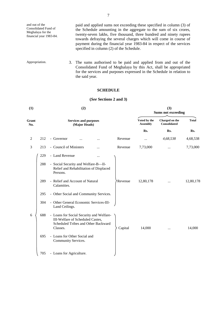| and out of the<br>Consolidated Fund of<br>Meghalaya for the<br>financial year 1983-84. | paid and applied sums not exceeding these specified in column (3) of<br>the Schedule amounting in the aggregate to the sum of six crores,<br>twenty-seven lakhs, five thousand, three hundred and ninety rupees<br>towards defraying the several charges which will come in course of<br>payment during the financial year 1983-84 in respect of the services |
|----------------------------------------------------------------------------------------|---------------------------------------------------------------------------------------------------------------------------------------------------------------------------------------------------------------------------------------------------------------------------------------------------------------------------------------------------------------|
|                                                                                        | specified in column (2) of the Schedule.                                                                                                                                                                                                                                                                                                                      |

Appropriation. 3. The sums authorised to be paid and applied from and out of the Consolidated Fund of Meghalaya by this Act, shall be appropriated for the services and purposes expressed in the Schedule in relation to the said year.

#### **SCHEDULE**

#### **(***See* **Sections 2 and 3)**

| (1)          |     | (2)                                                                                                                             |                                 |                                       | (3)<br><b>Sums not exceeding</b> |           |  |  |
|--------------|-----|---------------------------------------------------------------------------------------------------------------------------------|---------------------------------|---------------------------------------|----------------------------------|-----------|--|--|
| Grant<br>No. |     | <b>Services and purposes</b><br>(Major Heads)                                                                                   | Voted by the<br><b>Assembly</b> | Charged on the<br><b>Consolidated</b> | <b>Total</b>                     |           |  |  |
|              |     |                                                                                                                                 |                                 | Rs.                                   | Rs.                              | Rs.       |  |  |
| 2            | 212 | - Governor<br>$\cdots$<br>                                                                                                      | Revenue                         | $\cdots$                              | 4,68,538                         | 4,68,538  |  |  |
| 3            | 213 | - Council of Ministers<br>                                                                                                      | Revenue                         | 7,73,000                              | $\cdots$                         | 7,73,000  |  |  |
|              | 229 | - Land Revenue<br>$\cdots$                                                                                                      |                                 |                                       |                                  |           |  |  |
|              | 288 | - Social Security and Welfare-B-II-<br>Relief and Rehabilitation of Displaced<br>Persons.                                       |                                 |                                       |                                  |           |  |  |
|              | 289 | - Relief and Account of Natural<br>Calamities.                                                                                  | Revenue                         | 12,80,178                             | $\cdots$                         | 12,80,178 |  |  |
|              | 295 | - Other Social and Community Services.                                                                                          |                                 |                                       |                                  |           |  |  |
|              | 304 | - Other General Economic Services-III-<br>Land Ceilings.                                                                        |                                 |                                       |                                  |           |  |  |
| 6            | 688 | - Loans for Social Security and Welfare-<br>III-Welfare of Scheduled Castes,<br>Scheduled Tribes and Other Backward<br>Classes. | Capital                         | 14,000                                | $\cdots$                         | 14,000    |  |  |
|              | 695 | - Loans for Other Social and<br>Community Services.                                                                             |                                 |                                       |                                  |           |  |  |
|              | 705 | - Loans for Agriculture.                                                                                                        |                                 |                                       |                                  |           |  |  |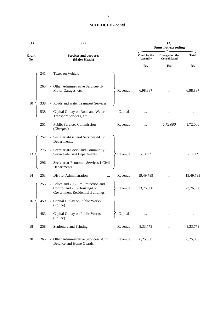| (1)          | (2)                                                                                                            |         | (3)<br><b>Sums not exceeding</b> |                                       |              |
|--------------|----------------------------------------------------------------------------------------------------------------|---------|----------------------------------|---------------------------------------|--------------|
| Grant<br>No. | <b>Services and purposes</b><br>(Major Heads)                                                                  |         | Voted by the<br><b>Assembly</b>  | Charged on the<br><b>Consolidated</b> | <b>Total</b> |
|              |                                                                                                                |         | Rs.                              | Rs.                                   | Rs.          |
|              | - Taxes on Vehicle<br>241                                                                                      |         |                                  |                                       |              |
|              | - Other Administrative Services-II-<br>265<br>Motor Garages, etc.                                              | Revenue | 6,98,887                         |                                       | 6,98,887     |
| 10           | - Roads and water Transport Services.<br>338                                                                   |         |                                  |                                       |              |
|              | - Capital Outlay on Road and Water<br>538<br>Transport Services, etc.                                          | Capital |                                  |                                       |              |
|              | - Public Services Commission<br>251<br>(Charged)                                                               | Revenue | $\ddotsc$                        | 1,72,000                              | 1,72,000     |
|              | - Secretariat-General Services-I-Civil<br>252<br>Departments.                                                  |         |                                  |                                       |              |
| 13           | - Secretariat-Social and Community<br>276<br>Services-I-Civil Departments.                                     | Revenue | 78,017                           |                                       | 78,017       |
|              | - Secretariat-Economic Services-I-Civil<br>296<br>Departments.                                                 |         |                                  |                                       |              |
| 14           | 253<br>- District Administration                                                                               | Revenue | 19,49,799                        | $\cdots$                              | 19,49,799    |
|              | 255<br>- Police and 260-Fire Protection and<br>Control and 283-Housing-C-<br>Government Residential Buildings. | Revenue | 73,76,000                        | $\cdots$                              | 73,76,000    |
| 16           | - Capital Outlay on Public Works<br>459<br>(Police).                                                           |         |                                  |                                       |              |
|              | - Capital Outlay on Public Works<br>483<br>(Police).                                                           | Capital |                                  |                                       |              |
| 18           | - Stationery and Printing.<br>258                                                                              | Revenue | 8, 33, 773                       |                                       | 8,33,773     |
| 20           | - Other Administrative Services-I-Civil<br>265<br>Defence and Home Guards.                                     | Revenue | 6,25,000                         | $\cdots$                              | 6,25,000     |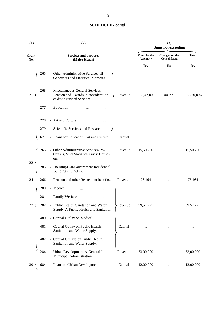| (1)          | (2)                                                                                                                      |                                 | <b>Sums not exceeding</b>      |              |
|--------------|--------------------------------------------------------------------------------------------------------------------------|---------------------------------|--------------------------------|--------------|
| Grant<br>No. | <b>Services and purposes</b><br>(Major Heads)                                                                            | Voted by the<br><b>Assembly</b> | Charged on the<br>Consolidated | <b>Total</b> |
|              |                                                                                                                          | Rs.                             | Rs.                            | Rs.          |
|              | - Other Administrative Services-III-<br>265<br>Gazetteers and Statistical Memoirs.                                       |                                 |                                |              |
| 21           | - Miscellaneous General Services-<br>268<br>Pension and Awards in consideration<br>Revenue<br>of distinguished Services. | 1,82,42,000                     | 88,096                         | 1,83,30,096  |
|              | - Education<br>277<br>                                                                                                   |                                 |                                |              |
|              | - Art and Culture<br>278                                                                                                 |                                 |                                |              |
|              | - Scientific Services and Research.<br>279                                                                               |                                 |                                |              |
|              | - Loans for Education, Art and Culture.<br>677<br>Capital                                                                |                                 |                                |              |
|              | - Other Administrative Services-IV-<br>265<br>Revenue<br>Census, Vital Statistics, Guest Houses,<br>etc.                 | 15,50,250                       |                                | 15,50,250    |
| 22           | - Housing-C-II-Government Residential<br>283<br>Buildings (G.A.D.).                                                      |                                 |                                |              |
| 24           | - Pension and other Retirement benefits.<br>Revenue<br>266                                                               | 76,164                          |                                | 76,164       |
|              | 280<br>- Medical                                                                                                         |                                 |                                |              |
|              | - Family Welfare<br>281                                                                                                  |                                 |                                |              |
| 27           | - Public Health, Sanitation and Water<br>282<br>>Revenue<br>Supply-A-Public Health and Sanitation                        | 99, 57, 225                     |                                | 99,57,225    |
|              | - Capital Outlay on Medical.<br>480                                                                                      |                                 |                                |              |
|              | - Capital Outlay on Public Health,<br>481<br>Capital<br>Sanitation and Water Supply.                                     |                                 |                                |              |
|              | - Capital Outlaya on Public Health,<br>482<br>Sanitation and Water Supply.                                               |                                 |                                |              |
|              | - Urban Development-A-General-I-<br>284<br>Revenue<br>Municipal Administration.                                          | 33,00,000                       |                                | 33,00,000    |
| 30           | - Loans for Urban Development.<br>684<br>Capital                                                                         | 12,00,000                       |                                | 12,00,000    |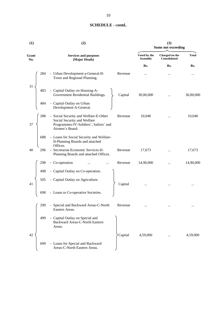| (1)          | (2)                                                                                                                                         |                                 | (3)<br><b>Sums not exceeding</b>      |              |  |
|--------------|---------------------------------------------------------------------------------------------------------------------------------------------|---------------------------------|---------------------------------------|--------------|--|
| Grant<br>No. | <b>Services and purposes</b><br>(Major Heads)                                                                                               | Voted by the<br><b>Assembly</b> | Charged on the<br><b>Consolidated</b> | <b>Total</b> |  |
|              |                                                                                                                                             | Rs.                             | Rs.                                   | Rs.          |  |
| 284          | - Urban Development-a-General-II-<br>Revenue<br>Town and Regional Planning.                                                                 |                                 |                                       | $\cdots$     |  |
| 31<br>483    | - Capital Outlay on Housing-A-<br>Government Residential Buildings.<br>Capital                                                              | 30,00,000                       |                                       | 30,00,000    |  |
| 484          | - Capital Outlay on Urban<br>Development-A-General.                                                                                         |                                 |                                       |              |  |
| 288<br>37    | - Social Security and Welfare-E-Other<br>Revenue<br>Social Security and Welfare<br>Programmes-IV-Soldiers', Sailors' and<br>Airmen's Board. | 10,040                          |                                       | 10,040       |  |
| 688          | - Loans for Social Security and Welfare-<br>II-Planning Boards and attached<br>Offices.                                                     |                                 |                                       |              |  |
| 40<br>296    | - Secretariat-Economic Services-II-<br>Revenue<br>Planning Boards and attached Offices.                                                     | 17,673                          |                                       | 17,673       |  |
| 298          | - Co-operation<br>Revenue                                                                                                                   | 14,90,000                       |                                       | 14,90,000    |  |
| 498          | - Capital Outlay on Co-operation.                                                                                                           |                                 |                                       |              |  |
| 505<br>41    | - Capital Outlay on Agriculture.<br>Capital                                                                                                 |                                 |                                       |              |  |
| 698          | - Loans to Co-operative Societies.                                                                                                          |                                 |                                       |              |  |
| 299          | - Special and Backward Areas-C-North<br>Revenue<br>Eastern Areas.                                                                           |                                 |                                       |              |  |
| 499          | - Capital Outlay on Special and<br>Backward Areas-C-North Eastern<br>Areas.                                                                 |                                 |                                       |              |  |
| 42           | Capital                                                                                                                                     | 4,59,000                        |                                       | 4,59,000     |  |
| 699          | - Loans for Special and Backward<br>Areas-C-North Eastern Areas.                                                                            |                                 |                                       |              |  |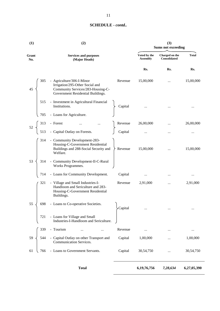| (1)          |     | (2)                                                                                                                                    | (3)<br><b>Sums not exceeding</b> |                                 |                                |              |
|--------------|-----|----------------------------------------------------------------------------------------------------------------------------------------|----------------------------------|---------------------------------|--------------------------------|--------------|
| Grant<br>No. |     | <b>Services and purposes</b><br>(Major Heads)                                                                                          |                                  | Voted by the<br><b>Assembly</b> | Charged on the<br>Consolidated | <b>Total</b> |
|              |     |                                                                                                                                        |                                  | Rs.                             | Rs.                            | Rs.          |
| 45           | 305 | - Agriculture/306-I-Minor<br>Irrigation/295-Other Social and<br>Community Services/283-Housing-C-<br>Government Residential Buildings. | Revenue                          | 15,00,000                       | $\cdots$                       | 15,00,000    |
|              | 515 | - Investment in Agricultural Financial<br>Institutions.                                                                                | Capital                          |                                 |                                | $\cdots$     |
|              | 705 | - Loans for Agriculture.                                                                                                               |                                  |                                 |                                |              |
|              | 313 | - Forest                                                                                                                               | Revenue                          | 26,00,000                       |                                | 26,00,000    |
| 52           | 513 | - Forest …<br>- Capital Outlay on Forests.                                                                                             | Capital                          |                                 | $\cdots$                       |              |
|              | 314 | - Community Development-283-<br>Housing-C-Government Residential<br>Buildings and 288-Social Security and<br>Welfare.                  | Revenue                          | 15,00,000                       |                                | 15,00,000    |
| 53           | 314 | - Community Development-II-C-Rural<br>Works Programmes.                                                                                |                                  |                                 |                                |              |
|              | 714 | - Loans for Community Development.                                                                                                     | Capital                          | $\cdots$                        |                                | $\cdots$     |
|              | 321 | - Village and Small Industries-I-<br>Handloom and Sericulture and 283-<br>Housing-C-Government Residential<br>Buildings.               | Revenue                          | 2,91,000                        | $\cdots$                       | 2,91,000     |
| 55           | 698 | - Loans to Co-operative Societies.                                                                                                     | Capital                          |                                 | $\cdots$                       | $\cdots$     |
|              | 721 | - Loans for Village and Small<br>Industries-I-Handloom and Sericulture.                                                                |                                  |                                 |                                |              |
|              | 339 | - Tourism<br>                                                                                                                          | Revenue                          |                                 |                                |              |
| 59           | 544 | - Capital Outlay on other Transport and<br>Communication Services.                                                                     | Capital                          | 1,00,000                        |                                | 1,00,000     |
| 61           | 766 | - Loans to Government Servants.                                                                                                        | Capital                          | 30,54,750                       |                                | 30,54,750    |
|              |     | <b>Total</b>                                                                                                                           |                                  | 6,19,76,756                     | 7,28,634                       | 6,27,05,390  |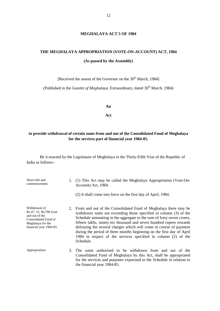#### **MEGHALAYA ACT 5 OF 1984**

# **THE MEGHALAYA APPROPRIATION (VOTE-ON-ACCOUNT) ACT, 1984**

**(As passed by the Assembly)**

[Received the assent of the Governor on the 30<sup>th</sup> March, 1984]

(Published in the *Gazette of Meghalaya*, Extraordinary, dated 30<sup>th</sup> March, 1984)

**An**

**Act**

#### **to provide withdrawal of certain sums from and out of the Consolidated Fund of Meghalaya for the services part of financial year 1984-85.**

Be it enacted by the Legislature of Meghalaya in the Thirty-Fifth Year of the Republic of India as follows:-

| Short title and<br>commencement.                                                                                                  |    | 1. (1) This Act may be called the Meghalaya Appropriation (Vote-On-<br>Account) Act, 1984.                                                                                                                                                                                                                                                                                                                                                                                                                            |  |  |  |
|-----------------------------------------------------------------------------------------------------------------------------------|----|-----------------------------------------------------------------------------------------------------------------------------------------------------------------------------------------------------------------------------------------------------------------------------------------------------------------------------------------------------------------------------------------------------------------------------------------------------------------------------------------------------------------------|--|--|--|
|                                                                                                                                   |    | (2) It shall come into force on the first day of April, 1984.                                                                                                                                                                                                                                                                                                                                                                                                                                                         |  |  |  |
| Withdrawal of<br>Rs.47, 15, 96,700 from<br>and out of the<br>Consolidated Fund of<br>Meghalaya for the<br>financial year 1984-85. |    | 2. From and out of the Consolidated Fund of Meghalaya there may be<br>withdrawn sums not exceeding those specified in column (3) of the<br>Schedule amounting in the aggregate to the sum of forty-seven crores,<br>fifteen lakhs, ninety-six thousand and seven hundred rupees towards<br>defraying the several charges which will come in course of payment<br>during the period of three months beginning on the first day of April<br>1984 in respect of the services specified in column (2) of the<br>Schedule. |  |  |  |
| Appropriation.                                                                                                                    | 3. | The sums authorised to be withdrawn from and out of the<br>Consolidated Fund of Meghalaya by this Act, shall be appropriated<br>for the services and purposes expressed in the Schedule in relation to<br>the financial year 1984-85.                                                                                                                                                                                                                                                                                 |  |  |  |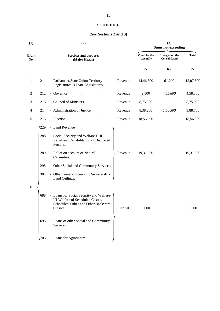#### **SCHEDULE**

#### **(***See* **Sections 2 and 3)**

| (1)          |     | (2)                                                                                                                             | (3)<br><b>Sums not exceeding</b> |                                 |                                       |              |
|--------------|-----|---------------------------------------------------------------------------------------------------------------------------------|----------------------------------|---------------------------------|---------------------------------------|--------------|
| Grant<br>No. |     | <b>Services and purposes</b><br>(Major Heads)                                                                                   |                                  | Voted by the<br><b>Assembly</b> | Charged on the<br><b>Consolidated</b> | <b>Total</b> |
|              |     |                                                                                                                                 |                                  | Rs.                             | Rs.                                   | Rs.          |
| $\mathbf{1}$ | 211 | - Parliament/State Union Territory<br>Legislatures-B-State Legislatures.                                                        | Revenue                          | 14,46,300                       | 61,200                                | 15,07,500    |
| 2            | 212 | - Governor                                                                                                                      | Revenue                          | 2,500                           | 4,55,800                              | 4,58,300     |
| 3            | 213 | - Council of Ministers                                                                                                          | Revenue                          | 8,75,000                        |                                       | 8,75,000     |
| 4            | 214 | - Administration of Justice                                                                                                     | Revenue                          | 8,38,200                        | 1,50,500                              | 9,88,700     |
| 5            | 215 | - Election                                                                                                                      | Revenue                          | 18,56,500                       |                                       | 18,56,500    |
|              | 229 | - Land Revenue                                                                                                                  |                                  |                                 |                                       |              |
|              | 288 | - Social Security and Welfare-B-II-<br>Relief and Rehabilitation of Displaced<br>Persons.                                       |                                  |                                 |                                       |              |
|              | 289 | - Relief on account of Natural<br>Calamities.                                                                                   | Revenue                          | 19,31,000                       |                                       | 19,31,000    |
|              | 295 | - Other Social and Community Services.                                                                                          |                                  |                                 |                                       |              |
|              | 304 | - Other General Economic Services-III-<br>Land Ceilings.                                                                        |                                  |                                 |                                       |              |
| 6            |     |                                                                                                                                 |                                  |                                 |                                       |              |
|              | 688 | - Loans for Social Security and Welfare-<br>III-Welfare of Scheduled Castes,<br>Scheduled Tribes and Other Backward<br>Classes. | Capital                          | 5,000                           | $\cdots$                              | 5,000        |
|              | 695 | - Loans of other Social and Community<br>Services.                                                                              |                                  |                                 |                                       |              |
|              | 705 | - Loans for Agriculture.                                                                                                        |                                  |                                 |                                       |              |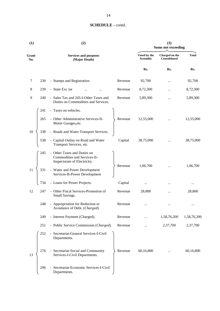| (1)          | (2)                                                                                                | (3)<br><b>Sums not exceeding</b> |                                |              |  |
|--------------|----------------------------------------------------------------------------------------------------|----------------------------------|--------------------------------|--------------|--|
| Grant<br>No. | <b>Services and purposes</b><br>(Major Heads)                                                      | Voted by the<br><b>Assembly</b>  | Charged on the<br>Consolidated | <b>Total</b> |  |
|              |                                                                                                    | Rs.                              | Rs.                            | Rs.          |  |
| 7            | 230<br>- Stamps and Registration<br>Revenue                                                        | 92,700                           |                                | 92,700       |  |
| 8            | - State Exc ise<br>239<br>Revenue                                                                  | 8,72,300                         | $\ddotsc$                      | 8,72,300     |  |
| 9            | 240<br>- Sales Tax and 245-I-Other Taxes and<br>Revenue<br>Duties on Commodities and Services.     | 5,89,300                         |                                | 5,89,300     |  |
|              | - Taxes on vehicles.<br>241                                                                        |                                  |                                |              |  |
|              | - Other Administrative Services-II-<br>265<br>Revenue<br>Motor Garages, etc.                       | 12,55,000                        |                                | 12,55,000    |  |
| 10           | - Roads and Water Transport Services.<br>338                                                       |                                  |                                |              |  |
|              | - Capital Outlay on Road and Water<br>538<br>Capital<br>Transport Services, etc.                   | 38,75,000                        |                                | 38,75,000    |  |
|              | - Other Taxes and Duties on<br>245<br>Commodities and Services-II-<br>Inspectorate of Electricity. |                                  |                                |              |  |
| 11           | Revenue<br>- Water and Power Development<br>331<br>Services-B-Power Development                    | 1,06,700                         |                                | 1,06,700     |  |
|              | - Loans for Power Projects.<br>Capital<br>734                                                      | $\cdots$                         |                                | $\ldots$     |  |
| 12           | - Other Fiscal Services-Promotion of<br>247<br>Revenue<br>Small Savings.                           | 28,800                           |                                | 28,800       |  |
|              | 248<br>- Appropriation for Reduction or<br>Revenue<br>Avoidance of Debt. (Charged).                | $\cdots$                         |                                | $\cdots$     |  |
|              | 249<br>- Interest Payment (Charged),<br>Revenue                                                    |                                  | 1,58,76,200                    | 1,58,76,200  |  |
|              | 251<br>- Public Service Commission (Charged).<br>Revenue                                           |                                  | 2,37,700                       | 2,37,700     |  |
|              | 252<br>- Secretariat-General Services-I-Civil<br>Departments.                                      |                                  |                                |              |  |
| 13           | 276<br>- Secretariat-Social and Community<br>Revenue<br>Services-I-Civil Departments.              | 60,16,800                        |                                | 60,16,800    |  |
|              | - Secretariat-Economic Services-I-Civil<br>296<br>Departments.                                     |                                  |                                |              |  |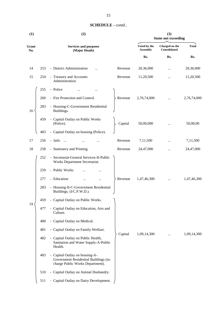| (1)          |     | (2)                                                                                                         |         |                                 | (3)<br><b>Sums not exceeding</b> |              |  |  |
|--------------|-----|-------------------------------------------------------------------------------------------------------------|---------|---------------------------------|----------------------------------|--------------|--|--|
| Grant<br>No. |     | <b>Services and purposes</b><br>(Major Heads)                                                               |         | Voted by the<br><b>Assembly</b> | Charged on the<br>Consolidated   | <b>Total</b> |  |  |
|              |     |                                                                                                             |         | Rs.                             | Rs.                              | Rs.          |  |  |
| 14           | 253 | - District Administration                                                                                   | Revenue | 20,36,000                       |                                  | 20,36,000    |  |  |
| 15           | 254 | - Treasury and Accounts<br>Administration.                                                                  | Revenue | 11,20,500                       |                                  | 11,20,500    |  |  |
|              | 255 | - Police                                                                                                    |         |                                 |                                  |              |  |  |
|              | 260 | - Fire Protection and Control.                                                                              | Revenue | 2,76,74,000                     |                                  | 2,76,74,000  |  |  |
| 16           | 283 | - Housing-C-Government Residential<br>Buildings.                                                            |         |                                 |                                  |              |  |  |
|              | 459 | - Capital Outlay on Public Works<br>(Police).                                                               | Capital | 50,00,000                       |                                  | 50,00,00     |  |  |
|              | 483 | - Capital Outlay on housing (Police).                                                                       |         |                                 |                                  |              |  |  |
| 17           | 256 | - Jails<br>$\cdots$                                                                                         | Revenue | 7,11,500                        |                                  | 7,11,500     |  |  |
| 18           | 258 | - Stationery and Printing                                                                                   | Revenue | 24,47,000                       |                                  | 24,47,000    |  |  |
|              | 252 | - Secretariat-General Services-II-Public<br>Works Department Secretariat.                                   |         |                                 |                                  |              |  |  |
|              | 259 | - Public Works                                                                                              |         |                                 |                                  |              |  |  |
|              | 277 | - Education                                                                                                 | Revenue | 1,47,46,300                     |                                  | 1,47,46,300  |  |  |
|              | 283 | - Housing-II-C-Government Residential<br>Buildings. (I/C.P.W.D.).                                           |         |                                 |                                  |              |  |  |
|              | 459 | - Capital Outlay on Public Works.                                                                           |         |                                 |                                  |              |  |  |
| 19           | 477 | - Capital Outlay on Education, Arts and<br>Culture.                                                         |         |                                 |                                  | 1,09,14,300  |  |  |
|              | 480 | - Capital Outlay on Medical.                                                                                |         |                                 |                                  |              |  |  |
|              | 481 | - Capital Outlay on Family Welfare.                                                                         |         |                                 |                                  |              |  |  |
|              | 482 | - Capital Outlay on Public Health,<br>Sanitation and Water Supply-A-Public<br>Health.                       | Capital | 1,09,14,300                     |                                  |              |  |  |
|              | 483 | - Capital Outlay on housing-A-<br>Government Residential Buildings (in-<br>charge Public Works Department). |         |                                 |                                  |              |  |  |
|              | 510 | - Capital Outlay on Animal Husbandry.                                                                       |         |                                 |                                  |              |  |  |
|              | 511 | - Capital Outlay on Dairy Development.                                                                      |         |                                 |                                  |              |  |  |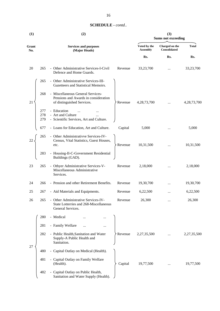|              |                   |                                                                                                         |         | <b>Sums not exceeding</b>       |                                |                |  |
|--------------|-------------------|---------------------------------------------------------------------------------------------------------|---------|---------------------------------|--------------------------------|----------------|--|
| Grant<br>No. |                   | <b>Services and purposes</b><br>(Major Heads)                                                           |         | Voted by the<br><b>Assembly</b> | Charged on the<br>Consolidated | <b>Total</b>   |  |
|              |                   |                                                                                                         |         | Rs.                             | Rs.                            | Rs.            |  |
| 20           | 265               | - Other Administrative Services-I-Civil<br>Defence and Home Guards.                                     | Revenue | 33,23,700                       |                                | 33,23,700      |  |
|              | 265               | - Other Administrative Services-III-<br>Gazetteers and Statistical Memoirs.                             |         |                                 |                                |                |  |
| 21           | 268               | - Miscellaneous General Services-<br>Pensions and Awards in consideration<br>of distinguished Services. | Revenue | 4,28,73,700                     |                                | 4, 28, 73, 700 |  |
|              | 277<br>278<br>279 | - Education<br>- Art and Culture<br>$\cdots$<br>- Scientific Services, Art and Culture.                 |         |                                 |                                |                |  |
|              | 677               | - Loans for Education, Art and Culture.                                                                 | Capital | 5,000                           |                                | 5,000          |  |
| 22           | 265               | Other Administrativve Services-IV-<br>Census, Vital Statistics, Guest Houses,<br>etc.                   | Revenue | 10,31,500                       |                                | 10,31,500      |  |
|              | 283               | - Housing-II-C-Government Residential<br>Buildings (GAD).                                               |         |                                 |                                |                |  |
| 23           | 265               | - Othyer Administrative Services-V-<br>Miscellaneous Administrative                                     | Revenue | 2,18,000                        |                                | 2,18,000       |  |

**(1) (2) (3)**

Services.

| 25 | 267 | - Aid Materials and Equipments.                                                                    | Revenue | 6,22,500    |          | 6,22,500    |
|----|-----|----------------------------------------------------------------------------------------------------|---------|-------------|----------|-------------|
| 26 | 265 | - Other Administrative Services-IV-<br>State Lotterries and 268-Miscellaneous<br>General Services. | Revenue | 26,300      |          | 26,300      |
|    | 280 | - Medical<br><br>                                                                                  |         |             |          |             |
|    | 281 | - Family Welfare<br>$\cdots$<br>                                                                   |         |             |          |             |
| 27 | 282 | - Public Health, Sanitation and Water<br>Supply-A Public Health and<br>Sanitation.                 | Revenue | 2,27,35,500 |          | 2,27,35,500 |
|    | 480 | - Capital Outlay on Medical (Health).                                                              |         |             |          |             |
|    | 481 | - Capital Outlay on Family Welfare<br>(Health).                                                    | Capital | 19,77,500   | $\cdots$ | 19,77,500   |
|    | 482 | - Capital Outlay on Public Health,<br>Sanitation and Water Supply (Health).                        |         |             |          |             |

24 266 - Pension and other Retirement Benefits. Revenue 19,30,700 *...* 19,30,700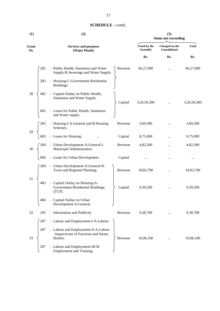|  | <b>SCHEDULE</b> - contd |  |
|--|-------------------------|--|
|--|-------------------------|--|

| (1)          | (2)                                                                                                       | (3)<br><b>Sums not exceeding</b> |                                |              |  |
|--------------|-----------------------------------------------------------------------------------------------------------|----------------------------------|--------------------------------|--------------|--|
| Grant<br>No. | <b>Services and purposes</b><br>(Major Heads)                                                             | Voted by the<br><b>Assembly</b>  | Charged on the<br>Consolidated | <b>Total</b> |  |
|              |                                                                                                           | Rs.                              | Rs.                            | Rs.          |  |
|              | - Public Health, Sanitation and Water<br>282<br>Revenue<br>Supply-B-Sewerage and Water Supply.            | 66,27,000                        |                                | 66,27,000    |  |
|              | - Housing-C-Government Residential<br>283<br>Buildings.                                                   |                                  |                                |              |  |
| 28           | 482<br>- Capital Outlay on Public Health,<br>Sanitation and Water Supply.<br>Capital                      | 3,26,50,300                      | $\cdots$                       | 3,26,50,300  |  |
|              | - Loans for Public Health, Sanitation<br>682<br>and Water supply.                                         |                                  |                                |              |  |
|              | 283<br>- Housing-I-A-General and B-Housing<br>Revenue<br>Schemes.                                         | 3,69,300                         |                                | 3,69,300     |  |
| 29           | - Loans for Housing.<br>683<br>Capital                                                                    | 8,75,000                         |                                | 8,75,000     |  |
| 30           | - Urban Development-A-General-I-<br>Revenue<br>284<br>Municipal Administration.                           | 4,82,500                         | $\cdots$                       | 4,82,500     |  |
|              | - Loans for Urban Development.<br>Capital<br>684                                                          |                                  | $\cdots$                       |              |  |
|              | 284<br>- Urban Development-A-General-II-<br>Town and Regional Planning.<br>Revenue                        | 18,83,700                        |                                | 18,83,700    |  |
| 31           | - Capital Outlay on Housing-A-<br>483<br>Government Residential Buildings<br>Capital<br>(TCP).            | 9,39,200                         |                                | 9,39,200     |  |
|              | - Capital Outlay on Urban<br>484<br>Development-A-General.                                                |                                  |                                |              |  |
| 32           | 295<br>- Information and Publicity<br>Revenue                                                             | 9,38,700                         | $\cdots$                       | 9,38,700     |  |
|              | - Labour and Employment-I-A-Labour.<br>287                                                                |                                  |                                |              |  |
| 33           | - Labour and Employment-II-A-Labour<br>287<br>-Inspectorate of Factories and Steam<br>Boilers.<br>Revenue | 16,06,100                        |                                | 16,06,100    |  |
|              | - Labour and Employment-III-B-<br>287<br>Employment and Training.                                         |                                  |                                |              |  |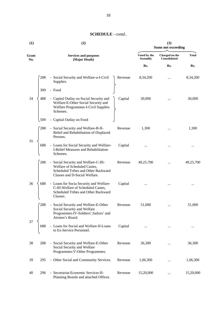| (1)          |     | (2)                                                                                                                                          | (3)<br><b>Sums not exceeding</b> |                                 |                                |              |
|--------------|-----|----------------------------------------------------------------------------------------------------------------------------------------------|----------------------------------|---------------------------------|--------------------------------|--------------|
| Grant<br>No. |     | <b>Services and purposes</b><br>(Major Heads)                                                                                                |                                  | Voted by the<br><b>Assembly</b> | Charged on the<br>Consolidated | <b>Total</b> |
|              |     |                                                                                                                                              |                                  | Rs.                             | Rs.                            | Rs.          |
|              | 288 | - Social Security and Welfare-a-I-Civil<br>Supplies.                                                                                         | Revenue                          | 8,34,200                        | $\cdots$                       | 8,34,200     |
|              | 309 | - Food                                                                                                                                       |                                  |                                 |                                |              |
| 34           | 488 | - Capital Outlay on Social Security and<br>Welfare-E-Other Social Security and<br>Welfare Programmes-I-Civil Supplies<br>Schemes.            | Capital                          | 30,000                          |                                | 30,000       |
|              | 509 | - Captial Outlay on Food                                                                                                                     |                                  |                                 |                                |              |
|              | 288 | - Social Security and Welfare-B-II-<br>Relief and Rehabilitation of Displaced<br>Persons.                                                    | Revenue                          | 1,300                           |                                | 1,300        |
| 35           | 688 | - Loans for Social Security and Welfare-<br>I-Relief Measures and Rehabilitation<br>Schemes.                                                 | Capital                          |                                 |                                |              |
|              | 288 | - Social Security and Welfare-C-III-<br>Welfare of Scheduled Castes,<br>Scheduled Tribes and Other Backward<br>Classes and D-Social Welfare. | Revenue                          | 49,25,700                       | $\cdots$                       | 49,25,700    |
| 36           | 688 | - Loans for Socia Security and Welfare-<br>C-III-Welfare of Scheduled Castes,<br>Scheduled Tribes and Other Backward<br>Classes.             | Capital                          |                                 |                                |              |
|              | 288 | - Social Security and Welfare-E-Other<br>Social Security and Welfare<br>Programmes-IV-Soldiers', Sailors' and<br>Airmen's Board.             | Revenue                          | 51,000                          | $\cdots$                       | 51,000       |
| 37           | 688 | - Loans for Social and Welfare-II-Loans<br>to Ex-Service Personnel.                                                                          | Capital                          |                                 | $\ldots$                       | $\cdots$     |
| 38           | 288 | - Social Security and Welfare-E-Other<br>Social Security and Welfare<br>Programmes-V-Other Programmes.                                       | Revenue                          | 36,300                          |                                | 36,300       |
| 39           | 295 | - Other Social and Community Services.                                                                                                       | Revenue                          | 1,06,300                        |                                | 1,06,300     |
| 40           | 296 | - Secretariat-Economic Services-II-<br>Planning Boards and attached Offices.                                                                 | Revenue                          | 15,20,000                       |                                | 15,20,000    |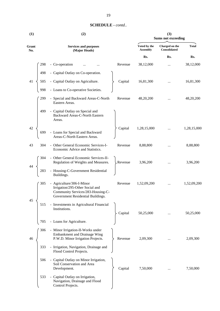| <b>SCHEDULE</b> - contd |  |
|-------------------------|--|
|-------------------------|--|

| (1)          |     | (2)                                                                                                                                    |         |                                 | (3)<br><b>Sums not exceeding</b> |              |
|--------------|-----|----------------------------------------------------------------------------------------------------------------------------------------|---------|---------------------------------|----------------------------------|--------------|
| Grant<br>No. |     | <b>Services and purposes</b><br>(Major Heads)                                                                                          |         | Voted by the<br><b>Assembly</b> | Charged on the<br>Consolidated   | <b>Total</b> |
|              |     |                                                                                                                                        |         | Rs.                             | Rs.                              | Rs.          |
|              | 298 | - Co-operation                                                                                                                         | Revenue | 38,12,000                       |                                  | 38,12,000    |
|              | 498 | - Capital Outlay on Co-operation.                                                                                                      |         |                                 |                                  |              |
| 41           | 505 | - Capital Outlay on Agriculture.                                                                                                       | Capital | 16,81,300                       |                                  | 16,81,300    |
|              | 998 | - Loans to Co-operative Societies.                                                                                                     |         |                                 |                                  |              |
|              | 299 | - Special and Backward Areas-C-North<br>Eastern Areas.                                                                                 | Revenue | 48,20,200                       |                                  | 48,20,200    |
|              | 499 | - Capital Outlay on Special and<br>Backward Areas-C-North Eastern<br>Areas.                                                            |         |                                 |                                  |              |
| 42           | 699 | - Loans for Special and Backward<br>Areas-C-North Eastern Areas.                                                                       | Capital | 1,28,15,000                     |                                  | 1,28,15,000  |
| 43           | 304 | - Other General Economic Services-I-<br>Economic Advice and Statistics.                                                                | Revenue | 8,88,800                        |                                  | 8,88,800     |
|              | 304 | - Other General Economic Services-II-<br>Regulation of Weights and Measures.                                                           | Revenue | 3,96,200                        |                                  | 3,96,200     |
|              | 283 | - Housing-C-Government Residential<br>Buildings.                                                                                       |         |                                 |                                  |              |
|              | 305 | - Agriculture/306-I-Minor<br>Irrigation/295-Other Social and<br>Community Services/283-Housing-C-<br>Government Residential Buildings. | Revenue | 1,52,09,200                     |                                  | 1,52,09,200  |
| 45           | 515 | - Investments in Agricultural Financial<br>Institutions.                                                                               | Capital | 50,25,000                       |                                  | 50,25,000    |
|              | 705 | - Loans for Agriculture.                                                                                                               |         |                                 |                                  |              |
| 46           | 306 | - Minor Irrigation-II-Works under<br>Embankment and Drainage Wing<br>P.W.D. Minor Irrigation Projects.                                 | Revenue | 2,09,300                        |                                  | 2,09,300     |
|              | 333 | - Irrigation, Navigation, Drainage and<br>Flood Control Projects.                                                                      |         |                                 |                                  |              |
|              | 506 | - Capital Outlay on Minor Irrigation,<br>Soil Conservation and Area<br>Development.                                                    | Capital | 7,50,000                        |                                  | 7,50,000     |
|              | 533 | - Capital Outlay on Irrigation,<br>Navigation, Drainage and Flood<br>Control Projects.                                                 |         |                                 |                                  |              |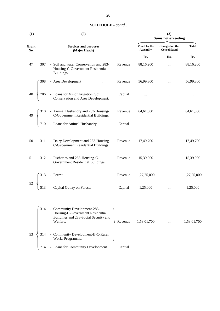| (1)                               |     | (2)                                                                                                                                      | (3)<br><b>Sums not exceeding</b> |                                 |                                |              |
|-----------------------------------|-----|------------------------------------------------------------------------------------------------------------------------------------------|----------------------------------|---------------------------------|--------------------------------|--------------|
| Grant<br>No.                      |     | <b>Services and purposes</b><br>(Major Heads)                                                                                            |                                  | Voted by the<br><b>Assembly</b> | Charged on the<br>Consolidated | <b>Total</b> |
|                                   |     |                                                                                                                                          |                                  | Rs.                             | Rs.                            | Rs.          |
| 47                                | 307 | - Soil and water Conservation and 283-<br>Housing-C-Government Residential<br>Buildings.                                                 | Revenue                          | 88,16,200                       | $\cdots$                       | 88,16,200    |
|                                   | 308 | - Area Development                                                                                                                       | Revenue                          | 56,99,300                       | $\ldots$                       | 56,99,300    |
| $48 \begin{array}{c} \end{array}$ |     | 706 - Loans for Minor Irrigation, Soil<br>Conservation and Area Development.                                                             | Capital                          | $\cdots$                        | $\cdots$                       | $\cdots$     |
|                                   |     | 49 $\begin{cases} 310 & -$ Animal Husbandry and 283-Housing-<br>C-Government Residential Buildings.<br>710 - Loans for Animal Husbandry. | Revenue                          | 64,61,000                       | $\cdots$                       | 64,61,000    |
|                                   |     |                                                                                                                                          | Capital                          | $\cdots$                        | $\cdots$                       |              |
| 50                                | 311 | - Dairy Development and 283-Housing-<br>C-Gvoernment Residential Buildings.                                                              | Revenue                          | 17,49,700                       |                                | 17,49,700    |
| 51                                | 312 | - Fistheries and 283-Housing-C-<br>Government Residential Buildings.                                                                     | Revenue                          | 15,39,000                       | $\cdots$                       | 15,39,000    |
|                                   |     | $\ddots$                                                                                                                                 | Revenue                          | 1,27,25,000                     | $\ddotsc$                      | 1,27,25,000  |
|                                   |     | $52\begin{cases} 313 - \text{Forest} & \dots & \dots \\ 513 - \text{Capital Outlay on Forests} \end{cases}$                              | Capital                          | 1,25,000                        | $\cdots$                       | 1,25,000     |
|                                   | 314 | - Community Development-283-<br>Housing-C-Government Residential<br>Buildings and 288-Social Security and<br>Welfare.                    | Revenue                          | 1,53,01,700                     |                                | 1,53,01,700  |
| 53                                | 314 | - Community Development-II-C-Rural                                                                                                       |                                  |                                 |                                |              |

714 - Loans for Community Development. Capital ... ... ... ... ... ... ... ...

Works Programme.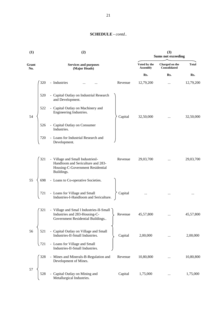| (1)          | (2)                                                                                                                                       | (3)<br><b>Sums not exceeding</b> |                                       |              |  |
|--------------|-------------------------------------------------------------------------------------------------------------------------------------------|----------------------------------|---------------------------------------|--------------|--|
| Grant<br>No. | <b>Services and purposes</b><br>(Major Heads)                                                                                             | Voted by the<br><b>Assembly</b>  | Charged on the<br><b>Consolidated</b> | <b>Total</b> |  |
|              |                                                                                                                                           | Rs.                              | Rs.                                   | Rs.          |  |
|              | - Industries<br>320<br>Revenue                                                                                                            | 12,79,200                        | $\cdots$                              | 12,79,200    |  |
|              | 520<br>- Capital Outlay on Industrial Research<br>and Development.                                                                        |                                  |                                       |              |  |
| 54           | - Capital Outlay on Machinery and<br>522<br>Engineering Industries.<br>Capital                                                            | 32,50,000                        | $\ldots$                              | 32,50,000    |  |
|              | - Capital Outlay on Consumer<br>526<br>Industries.                                                                                        |                                  |                                       |              |  |
|              | - Loans for Industrial Research and<br>720<br>Development.                                                                                |                                  |                                       |              |  |
|              | - Village and Small IndustriesI-<br>321<br>Revenue<br>Handloom and Sericulture and 283-<br>Housing-C-Government Residential<br>Buildings. | 29,03,700                        | $\cdots$                              | 29,03,700    |  |
| 55           | - Loans to Co-operative Societies.<br>698                                                                                                 |                                  |                                       |              |  |
|              | Capital<br>- Loans for Village and Small<br>721<br>Industries-I-Handloom and Sericulture.                                                 |                                  |                                       |              |  |
|              | - Village and Smal 1 Industries-II-Small<br>321<br>Industries and 283-Housing-C-<br>Revenue<br>Government Residential Buildings           | 45,57,800                        |                                       | 45,57,800    |  |
| 56           | - Capital Outlay on Village and Small<br>521<br>Industries-II-Small Industries.<br>Capital                                                | 2,00,000                         |                                       | 2,00,000     |  |
|              | - Loans for Village and Small<br>721<br>Industries-II-Small Industries.                                                                   |                                  |                                       |              |  |
|              | 328<br>- Mines and Minerals-B-Regulation and<br>Revenue<br>Development of Mines.                                                          | 10,80,800                        |                                       | 10,80,800    |  |
| 57           | - Capital Outlay on Mining and<br>528<br>Capital<br>Metallurgical Industries.                                                             | 1,75,000                         |                                       | 1,75,000     |  |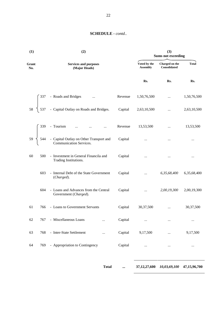| (1)          | (2)                                                                                                                                                        |         | <b>Sums not exceeding</b>       |                                       |              |
|--------------|------------------------------------------------------------------------------------------------------------------------------------------------------------|---------|---------------------------------|---------------------------------------|--------------|
| Grant<br>No. | <b>Services and purposes</b><br>(Major Heads)                                                                                                              |         | Voted by the<br><b>Assembly</b> | Charged on the<br><b>Consolidated</b> | <b>Total</b> |
|              |                                                                                                                                                            |         | Rs.                             | Rs.                                   | Rs.          |
|              | - Roads and Bridges<br>$\ldots$                                                                                                                            | Revenue | 1,50,76,500                     | $\cdots$                              | 1,50,76,500  |
| 58           | - Capital Outlay on Roads and Bridges.<br>$\begin{bmatrix} 537 \end{bmatrix}$                                                                              | Capital | 2,63,10,500                     | $\cdots$                              | 2,63,10,500  |
|              |                                                                                                                                                            | Revenue | 13,53,500                       | $\cdots$                              | 13,53,500    |
|              | $59\begin{cases} 339 - \text{Tourism} & \dots & \dots & \dots \\ 544 - \text{Capital Outlay on Other Transport and Communication Services.} & \end{cases}$ | Capital | $\cdots$                        | $\cdots$                              | $\cdots$     |
| 60           | 500<br>- Investment in General Financila and<br>Trading Institutions.                                                                                      | Capital | $\cdots$                        | $\cdots$                              | $\cdots$     |
|              | - Internal Debt of the State Government<br>603<br>(Charged).                                                                                               | Capital | $\ddotsc$                       | 6,35,68,400                           | 6,35,68,400  |
|              | 604<br>- Loans and Advances from the Central<br>Government (Charged).                                                                                      | Capital | $\cdots$                        | 2,00,19,300                           | 2,00,19,300  |
| 61           | - Loans to Government Servants<br>766                                                                                                                      | Capital | 30,37,500                       | $\cdots$                              | 30,37,500    |
| 62           | - Miscellaneous Loans<br>767                                                                                                                               | Capital | $\cdots$                        | $\cdots$                              |              |
| 63           | - Inter-State Settlement<br>768<br>                                                                                                                        | Capital | 9,17,500                        | $\cdots$                              | 9,17,500     |
| 64           | - Appropriation to Contingency<br>769                                                                                                                      | Capital | $\cdots$                        | $\cdots$                              | $\cdots$     |

**Total ... 37,12,27,600** *10,03,69,100* **47,15,96,700**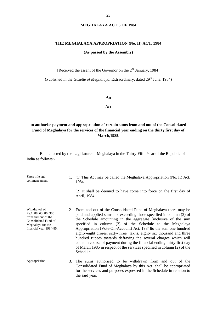#### **THE MEGHALAYA APPROPRIATION (No. II) ACT, 1984**

#### **(As passed by the Assembly)**

[Received the assent of the Governor on the 2<sup>nd</sup> January, 1984]

(Published in the *Gazette of Meghalaya*, Extraordinary, dated 29<sup>th</sup> June, 1984)

**An**

**Act**

### **to authorise payment and appropriation of certain sums from and out of the Consolidated Fund of Meghalaya for the services of the financial year ending on the thirty first day of March,1985.**

Be it enacted by the Legislature of Meghalaya in the Thirty-Fifth Year of the Republic of India as follows:-

| Short title and<br>commencement.                                                                                                      |    | 1. (1) This Act may be called the Meghalaya Appropriation (No. II) Act,<br>1984.                                                                                                                                                                                                                                                                                                                                                                                                                                                                                                                                                                           |
|---------------------------------------------------------------------------------------------------------------------------------------|----|------------------------------------------------------------------------------------------------------------------------------------------------------------------------------------------------------------------------------------------------------------------------------------------------------------------------------------------------------------------------------------------------------------------------------------------------------------------------------------------------------------------------------------------------------------------------------------------------------------------------------------------------------------|
|                                                                                                                                       |    | (2) It shall be deemed to have come into force on the first day of<br>April, 1984.                                                                                                                                                                                                                                                                                                                                                                                                                                                                                                                                                                         |
| Withdrawal of<br>Rs.1, 88, 63, 86, 300<br>from and out of the<br>Consolidated Fund of<br>Meghalaya for the<br>financial year 1984-85. |    | 2. From and out of the Consolidated Fund of Meghalaya there may be<br>paid and applied sums not exceeding those specified in column (3) of<br>the Schedule amounting in the aggregate [inclusive of the sum<br>specified in column (3) of the Schedule to the Meghalaya<br>Appropriation (Vote-On-Account) Act, 1984] to the sum one hundred<br>eighty-eight crores, sixty-three lakhs, eighty six thousand and three<br>hundred rupees towards defraying the several charges which will<br>come in course of payment during the financial ending thirty-first day<br>of March 1985 in respect of the services specified in column (2) of the<br>Schedule. |
| Appropriation.                                                                                                                        | 3. | The sums authorised to be withdrawn from and out of the<br>Consolidated Fund of Meghalaya by this Act, shall be appropriated<br>for the services and purposes expressed in the Schedule in relation to<br>the said year.                                                                                                                                                                                                                                                                                                                                                                                                                                   |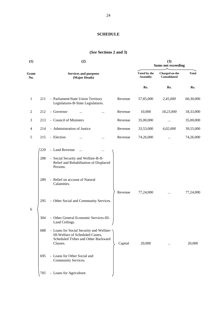#### **SCHEDULE**

#### **(***See* **Sections 2 and 3)**

| (1)          |                          | (2)                                                                                                                                                                                                                                              |         | (3)<br><b>Sums not exceeding</b> |                                |              |  |
|--------------|--------------------------|--------------------------------------------------------------------------------------------------------------------------------------------------------------------------------------------------------------------------------------------------|---------|----------------------------------|--------------------------------|--------------|--|
| Grant<br>No. |                          | <b>Services and purposes</b><br>(Major Heads)                                                                                                                                                                                                    |         | Voted by the<br><b>Assembly</b>  | Charged on the<br>Consolidated | <b>Total</b> |  |
|              |                          |                                                                                                                                                                                                                                                  |         | Rs.                              | Rs.                            | Rs.          |  |
| 1            | 211                      | - Parliament/State Union Territory<br>Legislatures-B-State Legislatures.                                                                                                                                                                         | Revenue | 57,85,000                        | 2,45,000                       | 60,30,000    |  |
| 2            | 212                      | - Governor<br>$\cdots$                                                                                                                                                                                                                           | Revenue | 10,000                           | 18,23,000                      | 18,33,000    |  |
| 3            | 213                      | - Council of Ministers                                                                                                                                                                                                                           | Revenue | 35,00,000                        | $\cdots$                       | 35,00,000    |  |
| 4            | 214                      | - Administration of Justice                                                                                                                                                                                                                      | Revenue | 33,53,000                        | 6,02,000                       | 39,55,000    |  |
| 5            | 215                      | - Election                                                                                                                                                                                                                                       | Revenue | 74,26,000                        |                                | 74,26,000    |  |
| 6            | 229<br>288<br>289<br>295 | - Land Revenue<br>$\cdots$<br><br>- Social Security and Welfare-B-II-<br>Relief and Rehabilitation of Displaced<br>Persons.<br>- Relief on account of Natural<br>Calamities.<br>- Other Social and Community Services.                           | Revenue | 77,24,000                        | $\cdots$                       | 77,24,000    |  |
|              | 304<br>688<br>695        | Other General Economic Services-III-<br>Land Ceilings.<br>- Loans for Social Security and Welfare-<br>III-Welfare of Scheduled Castes,<br>Scheduled Tribes and Other Backward<br>Classes.<br>- Loans for Other Social and<br>Community Services. | Capital | 20,000                           |                                | 20,000       |  |
|              | 705                      | - Loans for Agriculture.                                                                                                                                                                                                                         |         |                                  |                                |              |  |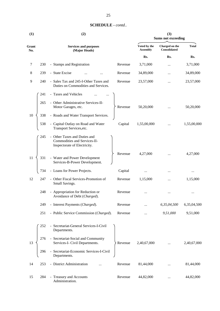| (1)          |     | (2)                                                                                          |         | (3)<br><b>Sums not exceeding</b> |                                |              |
|--------------|-----|----------------------------------------------------------------------------------------------|---------|----------------------------------|--------------------------------|--------------|
| Grant<br>No. |     | <b>Services and purposes</b><br>(Major Heads)                                                |         | Voted by the<br><b>Assembly</b>  | Charged on the<br>Consolidated | <b>Total</b> |
|              |     |                                                                                              |         | Rs.                              | Rs.                            | Rs.          |
| 7            | 230 | - Stamps and Registration                                                                    | Revenue | 3,71,000                         | $\cdots$                       | 3,71,000     |
| 8            | 239 | - State Excise                                                                               | Revenue | 34,89,000                        |                                | 34,89,000    |
| 9            | 240 | - Sales Tax and 245-I-Other Taxes and<br>Duties on Commodities and Services.                 | Revenue | 23,57,000                        | $\ddotsc$                      | 23,57,000    |
|              | 241 | - Taxes and Vehicles                                                                         |         |                                  |                                |              |
|              | 265 | - Other Administrative Services-II-<br>Motor Garages, etc.                                   | Revenue | 50,20,000                        |                                | 50,20,000    |
| 10           | 338 | - Roads and Water Transport Services.                                                        |         |                                  |                                |              |
|              | 538 | - Capital Outlay on Road and Water<br>Transport Services, etc.                               | Capital | 1,55,00,000                      |                                | 1,55,00,000  |
|              | 245 | - Other Taxes and Duties and<br>Commodities and Services-II-<br>Inspectorate of Electricity. |         |                                  |                                |              |
| 11           | 331 | - Water and Power Development<br>Services-B-Power Development.                               | Revenue | 4,27,000                         |                                | 4,27,000     |
|              | 734 | - Loans for Power Projects.                                                                  | Capital | $\cdots$                         |                                | $\cdots$     |
| 12           | 247 | - Other Fiscal Services-Promotion of<br>Small Savings.                                       | Revenue | 1,15,000                         |                                | 1,15,000     |
|              | 248 | - Appropriation for Reduction or<br>Avoidance of Debt (Charged).                             | Revenue |                                  |                                |              |
|              | 249 | - Interest Payments (Charged).                                                               | Revenue |                                  | 6,35,04,500                    | 6,35,04,500  |
|              | 251 | - Public Service Commission (Charged).                                                       | Revenue |                                  | 9,51,000                       | 9,51,000     |
|              | 252 | - Secretariat-General Services-I-Civil<br>Departments.                                       |         |                                  |                                |              |
| 13           | 276 | - Secretariat-Social and Community<br>Services-I- Civil Departments.                         | Revenue | 2,40,67,000                      |                                | 2,40,67,000  |
|              | 296 | - Secretariat-Economic Services-I-Civil<br>Departments.                                      |         |                                  |                                |              |
| 14           | 253 | - District Administration                                                                    | Revenue | 81,44,000                        |                                | 81,44,000    |
| 15           | 284 | - Treasury and Accounts                                                                      | Revenue | 44,82,000                        |                                | 44,82,000    |

Administration.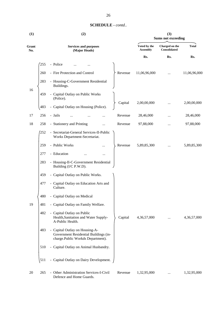|  | <b>SCHEDULE</b> - contd |  |
|--|-------------------------|--|
|--|-------------------------|--|

| (1)          |     | (2)                                                                                                          | (3)<br><b>Sums not exceeding</b> |                                 |                                |              |
|--------------|-----|--------------------------------------------------------------------------------------------------------------|----------------------------------|---------------------------------|--------------------------------|--------------|
| Grant<br>No. |     | <b>Services and purposes</b><br>(Major Heads)                                                                |                                  | Voted by the<br><b>Assembly</b> | Charged on the<br>Consolidated | <b>Total</b> |
|              |     |                                                                                                              |                                  | Rs.                             | Rs.                            | Rs.          |
|              | 255 | - Police                                                                                                     |                                  |                                 |                                |              |
|              | 260 | - Fire Protection and Control                                                                                | Revenue                          | 11,06,96,000                    |                                | 11,06,96,000 |
|              | 283 | - Housing-C-Government Residential<br>Buildings.                                                             |                                  |                                 |                                |              |
| 16           | 459 | - Capital Outlay on Public Works<br>(Police).                                                                |                                  |                                 |                                |              |
|              | 483 | - Capital Outlay on Housing (Police).                                                                        | Capital                          | 2,00,00,000                     |                                | 2,00,00,000  |
| 17           | 256 | - Jails                                                                                                      | Revenue                          | 28,46,000                       | $\cdots$                       | 28,46,000    |
| 18           | 258 | - Stationery and Printing<br>                                                                                | Revenue                          | 97,88,000                       |                                | 97,88,000    |
|              | 252 | - Secretariat-General Services-II-Public<br>Works Department-Secretariat.                                    |                                  |                                 |                                |              |
|              | 259 | - Public Works<br>                                                                                           | Revenue                          | 5,89,85,300                     |                                | 5,89,85,300  |
|              | 277 | - Education<br>$\cdots$                                                                                      |                                  |                                 |                                |              |
|              | 283 | - Housing-II-C-Government Residential<br>Building (I/C P.W.D).                                               |                                  |                                 |                                |              |
|              | 459 | - Capital Outlay on Public Works.                                                                            |                                  |                                 |                                |              |
|              | 477 | - Capital Outlay on Education Arts and<br>Culture.                                                           |                                  |                                 |                                |              |
|              | 480 | - Capital Outlay on Medical                                                                                  |                                  |                                 |                                |              |
| 19           | 481 | - Capital Outlay on Family Welfare.                                                                          |                                  |                                 |                                |              |
|              | 482 | - Capital Outlay on Public<br>Health, Sanitation and Water Supply-<br>A-Public Health.                       | Capital                          | 4,36,57,000                     |                                | 4,36,57,000  |
|              | 483 | - Capital Outlay on Housing-A-<br>Government Residential Buildings (in-<br>charge.Public Workds Department). |                                  |                                 |                                |              |
|              | 510 | - Capital Outlay on Animal Husbandry.                                                                        |                                  |                                 |                                |              |
|              | 511 | - Capital Outlay on Dairy Development.                                                                       |                                  |                                 |                                |              |
| 20           | 265 | - Other Administration Services-I-Civil<br>Defence and Home Guards.                                          | Revenue                          | 1,32,95,000                     |                                | 1,32,95,000  |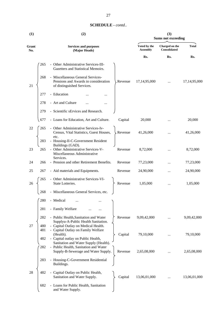| (1)          |            | (2)                                                                                                     | (3)<br><b>Sums not exceeding</b> |                                 |                                |              |
|--------------|------------|---------------------------------------------------------------------------------------------------------|----------------------------------|---------------------------------|--------------------------------|--------------|
| Grant<br>No. |            | <b>Services and purposes</b><br>(Major Heads)                                                           |                                  | Voted by the<br><b>Assembly</b> | Charged on the<br>Consolidated | <b>Total</b> |
|              |            |                                                                                                         |                                  | Rs.                             | Rs.                            | Rs.          |
|              | 265        | - Other Administrative Services-III-<br>Gazetters and Statistical Memoirs.                              |                                  |                                 |                                |              |
| 21           | 268        | - Miscellaneous General Services-<br>Pensions and Awards in consideration<br>of distinguished Services. | Revenue                          | 17,14,95,000                    |                                | 17,14,95,000 |
|              | 277        | - Education                                                                                             |                                  |                                 |                                |              |
|              | 278        | - Art and Culture                                                                                       |                                  |                                 |                                |              |
|              | 279        | - Scientific sErvices and Research.                                                                     |                                  |                                 |                                |              |
|              | 677        | - Loans for Education, Art and Culture.                                                                 | Capital                          | 20,000                          |                                | 20,000       |
| 22           | 265        | - Other Administrative Services-Iv-<br>Census, Vital Statistics, Guest Houses,<br>etc.                  | > Revenue                        | 41,26,000                       |                                | 41,26,000    |
| 23           | 283<br>265 | - Housing-II-C-Government Resident<br>Buildings (GAD).<br>- Other Administrative Services-V-            | Revenue                          | 8,72,000                        |                                | 8,72,000     |
|              |            | Miscellaneous Administrative<br>Services.                                                               |                                  |                                 |                                |              |
| 24           | 266        | - Pension and other Retirement Benefits.                                                                | Revenue                          | 77,23,000                       |                                | 77,23,000    |
| 25           | 267        | - Aid materials and Equipments.                                                                         | Revenue                          | 24,90,000                       |                                | 24,90,000    |
| 26           | 265        | - Other Administrative Services-VI-<br>State Lotteries.                                                 | Revenue                          | 1,05,000                        |                                | 1,05,000     |
|              | 268        | - Miscellaneous General Services, etc.                                                                  |                                  |                                 |                                |              |
|              | 280        | - Medical<br>                                                                                           |                                  |                                 |                                |              |
|              | 281        | - Family Welfare                                                                                        |                                  |                                 |                                |              |
|              | 282        | - Public Health, Sanitation and Water                                                                   | Revenue                          | 9,09,42,000                     |                                | 9,09,42,000  |
| 27           | 480        | Supplyu-A-Public Health Sanitation.<br>- Capital Outlay on Medical Health.                              |                                  |                                 |                                |              |
|              | 481        | - Capital Outlay on Family Welfare<br>(Health).                                                         | Capital                          | 79,10,000                       |                                | 79,10,000    |
|              | 482        | - Capital outlay on Public Health,<br>Sanitation and Water Supply (Health).                             |                                  |                                 |                                |              |
|              | 282        | - Public Health, Sanitation and Water<br>Supply-B-Sewerage and Water Supply.                            | Revenue                          | 2,65,08,000                     |                                | 2,65,08,000  |
|              | 283        | - Housing-C-Government Residential<br>Buildings.                                                        |                                  |                                 |                                |              |
| 28           | 482        | Capital Outlay on Public Health,<br>Sanitation and Water Supply.                                        | Capital                          | 13,06,01,000                    |                                | 13,06,01,000 |
|              | 682        | - Loans for Public Health, Sanitation                                                                   |                                  |                                 |                                |              |

and Water Supply.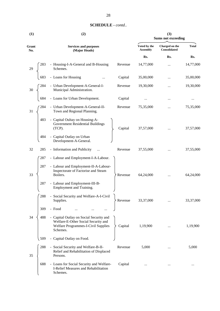| (1)          |     | (2)                                                                                                                               | (3)<br><b>Sums not exceeding</b> |                                 |                                |              |
|--------------|-----|-----------------------------------------------------------------------------------------------------------------------------------|----------------------------------|---------------------------------|--------------------------------|--------------|
| Grant<br>No. |     | <b>Services and purposes</b><br>(Major Heads)                                                                                     |                                  | Voted by the<br><b>Assembly</b> | Charged on the<br>Consolidated | <b>Total</b> |
|              |     |                                                                                                                                   |                                  | Rs.                             | Rs.                            | Rs.          |
| 29           | 283 | - Housing-I-A-General and B-Housing<br>Schemes.                                                                                   | Revenue                          | 14,77,000                       |                                | 14,77,000    |
|              | 683 | - Loans for Housing                                                                                                               | Capital                          | 35,00,000                       | $\cdots$                       | 35,00,000    |
| 30           | 284 | - Urban Development-A-General-I-<br>Municipal Administration.                                                                     | Revenue                          | 19,30,000                       | $\cdots$                       | 19,30,000    |
|              | 684 | - Loans for Urban Development.                                                                                                    | Capital                          | $\ddotsc$                       |                                |              |
| 31           | 284 | - Urban Development-A-General-II-<br>Town and Regional Planning.                                                                  | Revenue                          | 75,35,000                       | $\cdots$                       | 75,35,000    |
|              | 483 | - Capital Oultay on Housing-A-<br>Government Residential Buildings<br>$(TCP)$ .                                                   | Capital                          | 37,57,000                       |                                | 37,57,000    |
|              | 484 | Capital Outlay on Urban<br>Development-A-General.                                                                                 |                                  |                                 |                                |              |
| 32           | 285 | - Information and Publicity<br>$\ddotsc$                                                                                          | Revenue                          | 37,55,000                       | $\cdots$                       | 37,55,000    |
|              | 287 | - Labour and Employment-I-A-Labour.                                                                                               |                                  |                                 |                                |              |
| 33           | 287 | - Labour and Employment-II-A-Labour-<br>Inspectorate of Factorise and Steam<br>Boilers.                                           | Revenue                          | 64,24,000                       | $\cdots$                       | 64,24,000    |
|              | 287 | - Labour and Employment-III-B-<br>Employment and Training.                                                                        |                                  |                                 |                                |              |
|              | 288 | - Social Security and Welfare-A-I-Civil<br>Supplies.                                                                              | Revenue                          | 33,37,000                       |                                | 33,37,000    |
|              | 309 | - Food                                                                                                                            |                                  |                                 |                                |              |
| 34           | 488 | - Capital Outlay on Social Security and<br>Welfare-E-Other Social Security and<br>Welfare Programmes-I-Civil Supplies<br>Schemes. | Capital                          | 1,19,900                        | $\cdots$                       | 1,19,900     |
|              | 509 | Capital Outlay on Food.<br>$\overline{\phantom{0}}$                                                                               |                                  |                                 |                                |              |
| 35           | 288 | - Social Security and Welfare-B-II-<br>Relief and Rehabilitation of Displaced<br>Persons.                                         | Revenue                          | 5,000                           |                                | 5,000        |
|              | 688 | - Loans for Social Security and Welfare-<br>I-Relief Measures and Rehabilitation<br>Schemes.                                      | Capital                          | $\cdots$                        |                                |              |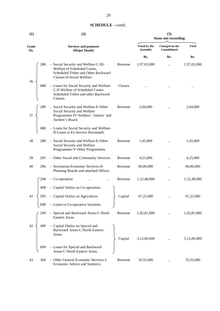| (1)          |     | (2)                                                                                                                                                 | (3)<br><b>Sums not exceeding</b> |                                |              |  |
|--------------|-----|-----------------------------------------------------------------------------------------------------------------------------------------------------|----------------------------------|--------------------------------|--------------|--|
| Grant<br>No. |     | <b>Services and purposes</b><br>(Major Heads)                                                                                                       | Voted by the<br><b>Assembly</b>  | Charged on the<br>Consolidated | <b>Total</b> |  |
|              |     |                                                                                                                                                     | Rs.                              | Rs.                            | Rs.          |  |
| 36           | 288 | - Social Security and Welfare-C-III-<br>Revenue<br>Welfare of Scheduled Castes,<br>Scheduled Tribes and Other Backward<br>Classes-D-Social Welfare. | 1,97,03,000                      | $\cdots$                       | 1,97,03,000  |  |
|              | 688 | - Loans for Social Security and Welfare-<br>Classes<br>C-II-Welfare of Scheduled Castes<br>Scheduled Tribes and other Backward<br>Classes.          |                                  |                                |              |  |
| 37           | 288 | - Social Security and Welfare-E-Other<br>Revenue<br>Social Security and Welfare<br>Programmes-IV-Soldiers', Sailors' and<br>Airmen's Board.         | 2,04,000                         |                                | 2,04,000     |  |
|              | 688 | - Loans for Social Security and Welfare-<br>II-Loans to Ex-Service Personnels.                                                                      |                                  |                                |              |  |
| 38           | 288 | - Social Security and Welfare-E-Other<br>Revenue<br>Social Security and Welfare<br>Programmes-V-Other Programmes.                                   | 1,45,000                         |                                | 1,45,000     |  |
| 39           | 295 | - Other Social and Community Services.<br>Revenue                                                                                                   | 4,25,000                         |                                | 4,25,000     |  |
| 40           | 296 | - Secretariat-Economic Services-II-<br>Revenue<br>Planning Boards and attached Offices.                                                             | 60,80,000                        |                                | 60,80,000    |  |
|              | 298 | - Co-operation<br>Revenue<br>$\ddotsc$                                                                                                              | 1,52,48,000                      |                                | 1,52,48,000  |  |
|              | 498 | - Capital Outlay on Co-operation.                                                                                                                   |                                  |                                |              |  |
| 41           | 505 | - Capital Outlay on Agriculture.<br>Capital                                                                                                         | 67,25,000                        |                                | 67,25,000    |  |
|              | 698 | - Loans to Co-operative Societies.                                                                                                                  |                                  |                                |              |  |
|              | 299 | - Special and Backward Areas-C-North<br>Revenue<br>Eastern Areas.                                                                                   | 1,92,81,000                      |                                | 1,92,81,000  |  |
| 42           | 499 | - Capital Outlay on Special and<br>Backward Areas-C-North Eastern<br>Areas.<br>Capital                                                              | 5,12,60,000                      |                                | 5,12,60,000  |  |
|              | 699 | - Loans for Special and Backward<br>Areas-C-North Eastern Areas.                                                                                    |                                  |                                |              |  |
| 43           | 304 | - Other General Economic Services-I-<br>Revenue<br>Economic Advice and Statistics.                                                                  | 35,55,000                        |                                | 35,55,000    |  |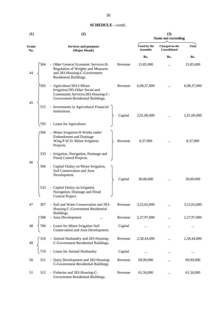| (1)          |     | (2)                                                                                                                                    | (3)<br><b>Sums not exceeding</b> |                                 |                                       |              |
|--------------|-----|----------------------------------------------------------------------------------------------------------------------------------------|----------------------------------|---------------------------------|---------------------------------------|--------------|
| Grant<br>No. |     | <b>Services and purposes</b><br>(Major Heads)                                                                                          |                                  | Voted by the<br><b>Assembly</b> | Charged on the<br><b>Consolidated</b> | <b>Total</b> |
|              |     |                                                                                                                                        |                                  | Rs.                             | Rs.                                   | Rs.          |
| 44           | 304 | - Other General Economic Services-II-<br>Regulation of Weights and Measures<br>and 283-Housing-C-Government<br>Residential Buildings.  | Revenue                          | 15,85,000                       | $\ddotsc$                             | 15,85,000    |
| 45           | 305 | - Agriculture/303-I-Minor<br>Irrigation/295-Other Social and<br>Community Services/283-Housing-C-<br>Government Residential Buildings. | Revenue                          | 6,08,37,000                     |                                       | 6,08,37,000  |
|              | 515 | - Investments in Agricultural Financial<br>Institutions.                                                                               | Capital                          | 2,01,00,000                     |                                       | 2,01,00,000  |
|              | 705 | - Loans for Agriculture.                                                                                                               |                                  |                                 |                                       |              |
|              | 306 | - Minor Irrigation-II-Works under<br><b>Embankment</b> and Drainage<br>Wing.P.W.D. Minor Irrigation<br>Projects.                       | Revenue                          | 8,37,000                        |                                       | 8,37,000     |
|              | 333 | - Irrigation, Navigation, Drainage and<br>Flood Control Projects.                                                                      |                                  |                                 |                                       |              |
| 46           | 506 | - Capital Outlay on Minor Irrigation,<br>Soil Conservation and Area<br>Development.                                                    | Capital                          | 30,00,000                       |                                       | 30,00,000    |
|              | 533 | - Capital Outlay on Irrigation<br>Navigation, Drainage and Flood<br>Control Project.                                                   |                                  |                                 |                                       |              |
| 47           | 307 | - Soil and Water Conservation and 283-<br>Housing-C-Government Residential                                                             | Revenue                          | 3,52,65,000                     |                                       | 3,52,65,000  |
|              | 308 | Buildings.<br>- Area Development                                                                                                       | Revenue                          | 2,27,97,000                     |                                       | 2,27,97,000  |
| 48           | 706 | - Loans for Minor Irrigation Soil<br>Conservation and Area Development.                                                                | Capital                          |                                 |                                       |              |
| 49           | 310 | - Animal Husbandry and 283-Housing-<br>C-Government Residential Buildings.                                                             | Revenue                          | 2,58,44,000                     |                                       | 2,58,44,000  |
|              | 710 | - Loans for Animal Husbandry                                                                                                           | Capital                          | $\cdots$                        |                                       |              |
| 50           | 311 | - Dairy Development and 283-Housing-<br>C-Government Residential Buildings.                                                            | Revenue                          | 69,99,000                       |                                       | 69,99,000    |
| 51           | 312 | - Fisheries and 283-Housing-C-<br>Government Residential Buildings.                                                                    | Revenue                          | 61,56,000                       |                                       | 61,56,000    |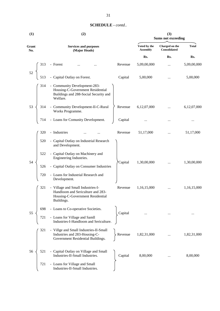| <b>SCHEDULE</b> - contd |  |
|-------------------------|--|
|-------------------------|--|

| (1)          |     | (2)                                                                                                                      | (3)<br><b>Sums not exceeding</b> |                                 |                                |              |
|--------------|-----|--------------------------------------------------------------------------------------------------------------------------|----------------------------------|---------------------------------|--------------------------------|--------------|
| Grant<br>No. |     | <b>Services and purposes</b><br>(Major Heads)                                                                            |                                  | Voted by the<br><b>Assembly</b> | Charged on the<br>Consolidated | <b>Total</b> |
|              |     |                                                                                                                          |                                  | Rs.                             | Rs.                            | Rs.          |
|              | 313 | - Forest                                                                                                                 | Revenue                          | 5,09,00,000                     |                                | 5,09,00,000  |
| 52           | 513 | - Capital Outlay on Forest.                                                                                              | Capital                          | 5,00,000                        | $\cdots$                       | 5,00,000     |
|              | 314 | - Community Development-283-<br>Housing-C-Government Residential<br>Buildings and 288-Social Security and<br>Welfare.    |                                  |                                 |                                |              |
| 53           | 314 | - Community Development-II-C-Rural<br>Works Programme.                                                                   | Revenue                          | 6,12,07,000                     |                                | 6,12,07,000  |
|              | 714 | - Loans for Comunity Development.                                                                                        | Capital                          |                                 |                                |              |
|              | 320 | - Industries                                                                                                             | Revenue                          | 51,17,000                       |                                | 51,17,000    |
|              | 520 | - Capital Outlay on Industrial Research<br>and Development.                                                              |                                  |                                 |                                |              |
| 54           | 522 | - Capital Outlay on Machinery and<br>Engineering Industries.                                                             |                                  |                                 |                                |              |
|              | 526 | - Capital Outlay on Consumer Industries                                                                                  | Capital                          | 1,30,00,000                     |                                | 1,30,00,000  |
|              | 720 | - Loans for Industrial Research and<br>Development.                                                                      |                                  |                                 |                                |              |
|              | 321 | - Village and Small Industries-I-<br>Handloom and Sericulture and 283-<br>Housing-C-Government Residential<br>Buildings. | Revenue                          | 1,16,15,000                     |                                | 1,16,15,000  |
| 55           | 698 | - Loans to Co-operative Societies.                                                                                       | Capital                          |                                 |                                |              |
|              | 721 | - Loans for Village and Samll<br>Industries-I-Handloom and Sericulture.                                                  |                                  |                                 |                                |              |
|              | 321 | - Villge and Small Industries-II-Small<br>Industries and 283-Housing-C-<br>Government Residential Buildings.             | Revenue                          | 1,82,31,000                     |                                | 1,82,31,000  |
| 56           | 521 | - Capital Outlay on Village and Small<br>Industries-II-Small Industries.                                                 | Capital                          | 8,00,000                        |                                | 8,00,000     |
|              | 721 | - Loans for Village and Small<br>Industries-II-Small Industries.                                                         |                                  |                                 |                                |              |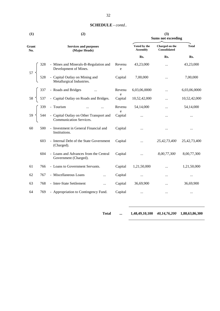| (1)          |     | (2)                                                                | (3)<br><b>Sums not exceeding</b> |                                 |                                |              |
|--------------|-----|--------------------------------------------------------------------|----------------------------------|---------------------------------|--------------------------------|--------------|
| Grant<br>No. |     | <b>Services and purposes</b><br>(Major Heads)                      |                                  | Voted by the<br><b>Assembly</b> | Charged on the<br>Consolidated | <b>Total</b> |
|              |     |                                                                    |                                  | Rs.                             | Rs.                            | Rs.          |
|              | 328 | - Mines and Minerals-B-Regulation and<br>Development of Mines.     | Revenu<br>e                      | 43,23,000                       | $\cdots$                       | 43,23,000    |
| 57           | 528 | - Capital Outlay on Mining and<br>Metallurgical Industries.        | Capital                          | 7,00,000                        | $\cdots$                       | 7,00,000     |
|              | 337 | - Roads and Bridges                                                | Revenu                           | 6,03,06,0000                    | $\cdots$                       | 6,03,06,0000 |
| 58           | 537 | - Capital Outlay on Roads and Bridges.                             | e<br>Capital                     | 10,52,42,000                    |                                | 10,52,42,000 |
|              | 339 | - Tourism                                                          | Revenu                           | 54,14,000                       |                                | 54,14,000    |
| 59           | 544 | - Capital Outlay on Other Transport and<br>Communication Services. | e<br>Capital                     | $\ddotsc$                       | $\cdots$                       |              |
| 60           | 500 | - Investment in General Financial and<br>Institutions.             | Capital                          | $\cdots$                        | $\cdots$                       | $\cdots$     |
|              | 603 | - Internal Debt of the State Government<br>(Charged).              | Capital                          | $\ddotsc$                       | 25,42,73,400                   | 25,42,73,400 |
|              | 604 | - Loans and Advances from the Central<br>Government (Charged).     | Capital                          |                                 | 8,00,77,300                    | 8,00,77,300  |
| 61           | 766 | - Loans to Government Servants.                                    | Capital                          | 1,21,50,000                     |                                | 1,21,50,000  |
| 62           | 767 | - Miscellaneous Loans<br>$\cdots$                                  | Capital                          | $\cdots$                        | $\cdots$                       | $\ldots$     |
| 63           | 768 | - Inter-State Settlement<br>$\cdots$                               | Capital                          | 36,69,900                       |                                | 36,69,900    |
| 64           | 769 | - Appropriation to Contingency Fund.                               | Capital                          |                                 |                                | $\cdots$     |

**Total ... 1,48,49,10,100** *40,14,76,200* **1,88,63,86,300**

- 
-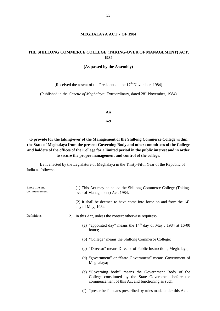#### **MEGHALAYA ACT 7 OF 1984**

#### **THE SHILLONG COMMERCE COLLEGE (TAKING-OVER OF MANAGEMENT) ACT, 1984**

#### **(As passed by the Assembly)**

[Received the assent of the President on the  $17<sup>th</sup>$  November, 1984]

(Published in the *Gazette of Meghalaya*, Extraordinary, dated 28<sup>th</sup> November, 1984)

**An**

**Act**

**to provide for the taking-over of the Management of the Shillong Commerce College within the State of Meghalaya from the present Governing Body and other committees of the College and holders of the offices of the College for a limited period in the public interest and in order to secure the proper management and control of the college.**

Be it enacted by the Legislature of Meghalaya in the Thirty-Fifth Year of the Republic of India as follows:-

| Short title and<br>commencement. | 1. | (1) This Act may be called the Shillong Commerce College (Taking-<br>over of Management) Act, 1984.                                                                  |  |
|----------------------------------|----|----------------------------------------------------------------------------------------------------------------------------------------------------------------------|--|
|                                  |    | (2) It shall be deemed to have come into force on and from the $14th$<br>day of May, 1984.                                                                           |  |
| Definitions.                     | 2. | In this Act, unless the context otherwise requires:-                                                                                                                 |  |
|                                  |    | (a) "appointed day" means the $14th$ day of May, 1984 at 16-00<br>hours;                                                                                             |  |
|                                  |    | (b) "College" means the Shillong Commerce College;                                                                                                                   |  |
|                                  |    | (c) "Director" means Director of Public Instruction, Meghalaya;                                                                                                      |  |
|                                  |    | (d) "government" or "State Government" means Government of<br>Meghalaya;                                                                                             |  |
|                                  |    | (e) "Governing body" means the Government Body of the<br>College constituted by the State Government before the<br>commencement of this Act and functioning as such; |  |
|                                  |    | (f) "prescribed" means prescribed by rules made under this Act.                                                                                                      |  |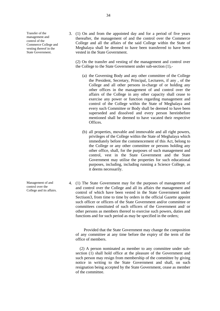Transfer of the management and control of the Commerce College and vesting thereof in the State Government.

3. (1) On and from the appointed day and for a period of five years thereafter, the management of and the control over the Commerce College and all the affairs of the said College within the State of Meghalaya shall be deemed to have been transferred to have been vested in the State Government.

(2) On the transfer and vesting of the management and control over the College to the State Government under sub-section (1),-

- (a) the Governing Body and any other committee of the College the President, Secretary, Principal, Lecturers, if any , of the College and all other persons in-charge of or holding any other offices in the management of and control over the affairs of the College in any other capacity shall cease to exercise any power or function regarding management and control of the College within the State of Meghalaya and every such Committee or Body shall be deemed to have been superseded and dissolved and every person hereinbefore mentioned shall be deemed to have vacated their respective Offices.
- (b) all properties, movable and immovable and all right powers, privileges of the College within the State of Meghalaya which immediately before the commencement of this Act, belong to the College or any other committee or persons holding any other office, shall, for the purposes of such management and control, vest in the State Government and the State Government may utilise the properties for such educational purposes, including, including running a Science College, as it deems necessarily.
- 4. (1) The State Government may for the purposes of management of and control over the College and all its affairs the management and control of which have been vested in the State Government under Sectiuon3, from time to time by orders in the official Gazette appoint such officer or officers of the State Government and/or committee or committees constituted of such officers of the Government and/ or other persons as members thereof to exercise such powers, duties and functions and for such period as may be specified in the orders;

Provided that the State Government may change the composition of any committee at any time before the expiry of the term of the office of members.

(2) A person nominated as member to any committee under sub section  $(1)$  shall hold office at the pleasure of the Government and such person may resign from membership of the committee by giving notice in writing to the State Government and shall, on such resignation being accepted by the State Government, cease as member of the committee.

Management of and control over the College and its affairs.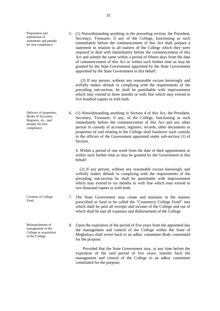Preparation and submission of statements and penalty for non compliance.

immediately before the commencement of this Act shall prepare a statement in relation to all matters of the College which they were required to deal with immediately before the commencement of this Act and submit the same within a period of fifteen days from the date of commencement of this Act or within such further time as may be granted by the State Government appointed by the State Government appointed by the State Government in this behalf.

5. (1) Notwithstanding anything in the preceding section, the President, Secretary, Treasurer, if any of the College, functioning as such

(2) If any person, without any reasonable excuse knowingly and wilfully makes default in complying with the requirements of the preceding sub-section, he shall be punishable with imprisonment which may extend to three months or with fine which may extend to five hundred rupees or with both.

Delivery of properties, 6. (1) Notwithstanding anything in Section 4 of this Act, the President, Secretary, Treasurer, if any, of the College, functioning as such immediately before the commencement of this Act and any other person in custody of accounts, registers, records, other documents or properties of and relating to the College shall handover such custody to the officers of the Government appointed under sub-section (1) of Section.

> 4. Within a period of one week from the date of their appointment or within such further time as may be granted by the Government in this behalf.

> (2) If any person, without any reasonable excuse knowingly and wilfully makes default in complying with the requirements of the preceding sub-section he shall be punishable with imprisonment which may extend to six months or with fine which may extend to two thousand rupees or with both;

- 7. The State Government may create and maintain in the manner prescribed as fund to be called the "Commerce College Fund" into which shall be paid all receipts and income of the College and out of which shall be met all expenses and disbursement of the College.
	- 8. Upon the expiration of the period of five years from the appointed day the management and control of the College within the State of Meghalaya shall revert back to an adhoc committee Body constituted for the purpose;

Provided that the State Government may, at any time before the expiration of the said period of five years, transfer back the management and control of the College to an adhoc committee constituted for the purpose;

Books of Accounts, Registers, etc., and penalty for non compliance.

Creation of College Fund.

Relinquishment of management of the College or acquisition of the College.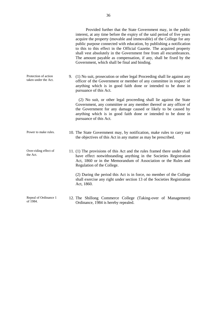Provided further that the State Government may, in the public interest, at any time before the expiry of the said period of five years acquire the property (movable and immovable) of the College for any public purpose connected with education, by publishing a notification to this to this effect in the Official Gazette. The acquired property shall vest absolutely in the Government free from all encumbrances. The amount payable as compensation, if any, shall be fixed by the Government, which shall be final and binding. Protection of action taken under the Act. 9. (1) No suit, prosecution or other legal Proceeding shall lie against any officer of the Government or member of any committee in respect of anything which is in good faith done or intended to be done in pursuance of this Act. (2) No suit, or other legal proceeding shall lie against the State Government, any committee or any member thereof or any officer of the Government for any damage caused or likely to be caused by anything which is in good faith done or intended to be done in pursuance of this Act. Power to make rules. 10. The State Government may, by notification, make rules to carry out the objectives of this Act in any matter as may be prescribed. Over-riding effect of the Act. 11. (1) The provisions of this Act and the rules framed there under shall have effect notwithstanding anything in the Societies Registration Act, 1860 or in the Memorandum of Association or the Rules and Regulation of the College. (2) During the period this Act is in force, no member of the College shall exercise any right under section 13 of the Societies Registration Act, 1860. Repeal of Ordinance 1 12. The Shillong Commerce College (Taking-over of Management)

Ordinance, 1984 is hereby repealed.

of 1984.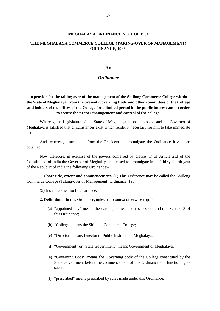#### **MEGHALAYA ORDINANCE NO. 1 OF 1984**

#### **THE MEGHALAYA COMMERCE COLLEGE (TAKING-OVER OF MANAGEMENT) ORDINANCE, 1983.**

#### **An**

#### *Ordinance*

**to provide for the taking-over of the management of the Shillong Commerce College within the State of Meghalaya from the present Governing Body and other committees of the College and holders of the offices of the College for a limited period in the public interest and in order to secure the proper management and control of the college.**

Whereas**,** the Legislature of the State of Meghalaya is not in session and the Governor of Meghalaya is satisfied that circumstances exist which render it necessary for him to take immediate action;

And, whereas, instructions from the President to promulgate the Ordinance have been obtained.

Now therefore, in exercise of the powers conferred by clause (1) of Article 213 of the Constitution of India the Governor of Meghalaya is pleased to promulgate in the Thirty-fourth year of the Republic of India the following Ordinance:-

**1. Short title, extent and commencement-** (1) This Ordinance may be called the Shillong Commerce College (Taking-over of Management) Ordinance, 1984.

(2) It shall come into force at once.

**2. Definition. -** In this Ordinance, unless the context otherwise require:-

- (a) "appointed day" means the date appointed under sub-section (1) of Section 3 of this Ordinance;
- (b) "College" means the Shillong Commerce College;
- (c) "Director" means Director of Public Instruction, Meghalaya;
- (d) "Government" or "State Government" means Government of Meghalaya;
- (e) "Governing Body" means the Governing body of the College constituted by the State Government before the commencement of this Ordinance and functioning as such.
- (f) "prescribed" means prescribed by rules made under this Ordinance.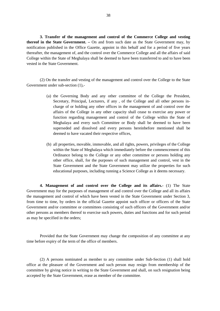**3. Transfer of the management and control of the Commerce College and vesting thereof in the State Government. –** On and from such date as the State Government may, by notification published in the Office Gazette, appoint in this behalf and for a period of five years thereafter, the management of, and the control over the Commerce College and all the affairs of said College within the State of Meghalaya shall be deemed to have been transferred to and to have been vested in the State Government.

(2) On the transfer and vesting of the management and control over the College to the State Government under sub-section (1),-

- (a) the Governing Body and any other committee of the College the President, Secretary, Principal, Lecturers, if any , of the College and all other persons in charge of or holding any other offices in the management of and control over the affairs of the College in any other capacity shall cease to exercise any power or function regarding management and control of the College within the State of Meghalaya and every such Committee or Body shall be deemed to have been superseded and dissolved and every persons hereinbefore mentioned shall be deemed to have vacated their respective offices,
- (b) all properties, movable, immovable, and all rights, powers, privileges of the College within the State of Meghalaya which immediately before the commencement of this Ordinance belong to the College or any other committee or persons holding any other office, shall, for the purposes of such management and control, vest in the State Government and the State Government may utilize the properties for such educational purposes, including running a Science College as it deems necessary.

**4. Management of and control over the College and its affairs.-** (1) The State Government may for the purposes of management of and control over the College and all its affairs the management and control of which have been vested in the State Government under Section 3, from time to time, by orders in the official Gazette appoint such officer or officers of the State Government and/or committee or committees consisting of such officers of the Government and/or other persons as members thereof to exercise such powers, duties and functions and for such period as may be specified in the orders;

Provided that the State Government may change the composition of any committee at any time before expiry of the term of the office of members.

(2) A persons nominated as member to any committee under Sub-Section (1) shall hold office at the pleasure of the Government and such person may resign from membership of the committee by giving notice in writing to the State Government and shall, on such resignation being accepted by the State Government, erase as member of the committee.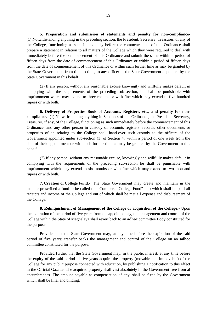**5. Preparation and submission of statements and penalty for non-compliance-** (1) Notwithstanding anything in the preceding section, the President, Secretary, Treasurer, of any of the College, functioning as such immediately before the commencement of this Ordinance shall prepare a statement in relation to all matters of the College which they were required to deal with immediately before the commencement of this Ordinance and submit the same within a period of fifteen days from the date of commencement of this Ordinance or within a period of fifteen days from the date of commencement of this Ordinance or within such further time as may be granted by the State Government, from time to time, to any officer of the State Government appointed by the State Government in this behalf.

(2) If any person, without any reasonable excuse knowingly and willfully makes default in complying with the requirements of the preceding sub-section, he shall be punishable with imprisonment which may extend to three months or with fine which may extend to five hundred rupees or with both.

**6. Delivery of Properties Book of Accounts, Registers, etc., and penalty for non compliance.-** (1) Notwithstanding anything in Section 4 of this Ordinance, the President, Secretary, Treasurer, if any, of the College, functioning as such immediately before the commencement of this Ordinance, and any other person in custody of accounts registers, records, other documents or properties of an relating to the College shall hand-over such custody to the officers of the Government appointed under sub-section (1) of Section 4, within a period of one week from the date of their appointment or with such further time as may be granted by the Government in this behalf.

(2) If any person, without any reasonable excuse, knowingly and willfully makes default in complying with the requirements of the preceding sub-section he shall be punishable with imprisonment which may extend to six months or with fine which may extend to two thousand rupees or with both.

**7. Creation of College Fund.-** The State Government may create and maintain in the manner prescribed a fund to be called the "Commerce College Fund" into which shall be paid all receipts and income of the College and out of which shall be met all expense and disbursement of the College.

**8. Relinquishment of Management of the College or acquisition of the College:-** Upon the expiration of the period of five years from the appointed day, the management and control of the College within the State of Meghalaya shall revert back to an **adhoc** committee Body constituted for the purpose;

Provided that the State Government may, at any time before the expiration of the said period of five years; transfer backs the management and control of the College on an **adhoc** committee constituted for the purpose.

Provided further that the State Government may, in the public interest, at any time before the expiry of the said period of five years acquire the property (movable and immovable) of the College for any public purpose connected with education, by publishing a notification to this effect in the Official Gazette. The acquired property shall vest absolutely in the Government free from al encumbrances. The amount payable as compensation, if any, shall be fixed by the Government which shall be final and binding.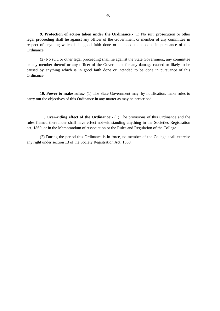**9. Protection of action taken under the Ordinance.-** (1) No suit, prosecution or other legal proceeding shall lie against any officer of the Government or member of any committee in respect of anything which is in good faith done or intended to be done in pursuance of this Ordinance.

(2) No suit, or other legal proceeding shall lie against the State Government, any committee or any member thereof or any officer of the Government for any damage caused or likely to be caused by anything which is in good faith done or intended to be done in pursuance of this Ordinance.

**10. Power to make rules.-** (1) The State Government may, by notification, make rules to carry out the objectives of this Ordinance in any matter as may be prescribed.

**11. Over-riding effect of the Ordinance:-** (1) The provisions of this Ordinance and the rules framed thereunder shall have effect not-withstanding anything in the Societies Registration act, 1860, or in the Memorandum of Association or the Rules and Regulation of the College.

(2) During the period this Ordinance is in force, no member of the College shall exercise any right under section 13 of the Society Registration Act, 1860.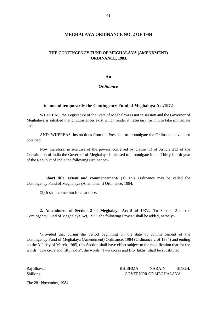#### **MEGHALAYA ORDINANCE NO. 2 OF 1984**

#### **THE CONTINGENCY FUND OF MEGHALAYA (AMENDMENT) ORDINANCE, 1983.**

**An**

*Ordinance*

#### **to amend temporarily the Contingency Fund of Meghalaya Act,1972**

WHEREAS**,** the Legislature of the State of Meghalaya is not in session and the Governor of Meghalaya is satisfied that circumstances exist which render it necessary for him to take immediate action;

AND, WHEREAS, instructions from the President to promulgate the Ordinance have been obtained.

Now therefore, in exercise of the powers conferred by clause (1) of Article 213 of the Constitution of India the Governor of Meghalaya is pleased to promulgate in the Thirty-fourth year of the Republic of India the following Ordinance:-

**1. Short title, extent and commencement-** (1) This Ordinance may be called the Contingency Fund of Meghalaya (Amendment) Ordinance, 1984.

(2) It shall come into force at once.

**2. Amendment of Section 2 of Meghalaya Act 5 of 1972.-** To Section 2 of the Contingency Fund of Meghalaya Act, 1972, the following Proviso shall be added, namely:-

'Provided that during the period beginning on the date of commencement of the Contingency Fund of Meghalaya (Amendment) Ordinance, 1984 (Ordinance 2 of 1984) and ending on the 31<sup>st</sup> day of March, 1985, this Section shall have effect subject to the modification that for the words "One crore and fifty lakhs", the words "Two crores and fifty lakhs" shall be substituted.

Raj Bhavan BHISHMA NARAIN SINGH, Shillong. GOVERNOR OF MEGHALAYA.

The 28<sup>th</sup> November, 1984.